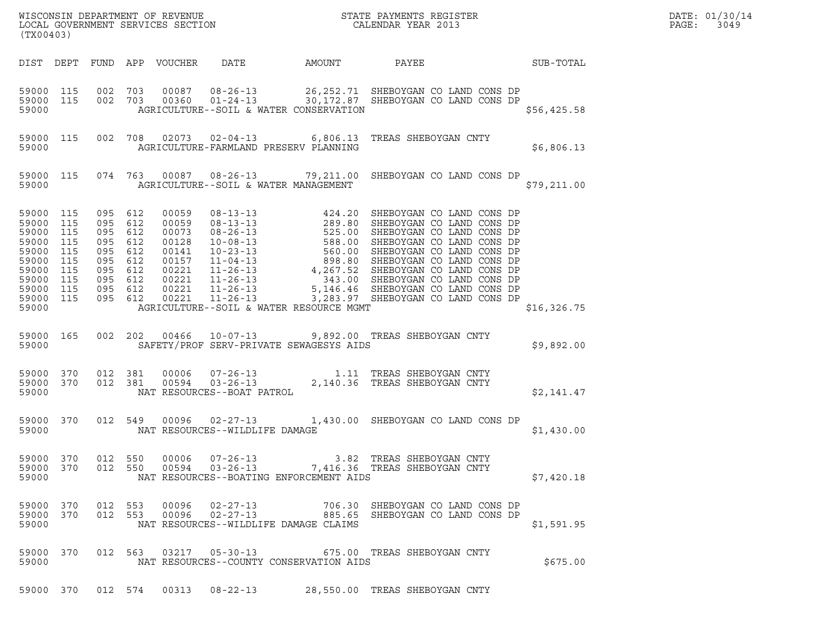| (TX00403)                                                                                                                               |           |                    |                |                                  |                                                | % WISCONSIN DEPARTMENT OF REVENUE $$\tt STATE$ PAYMENTS REGISTER LOCAL GOVERNMENT SERVICES SECTION $$\tt CALENDAR$ YEAR 2013                                                                                                                 |             | DATE: 01/30/14<br>PAGE:<br>3049 |
|-----------------------------------------------------------------------------------------------------------------------------------------|-----------|--------------------|----------------|----------------------------------|------------------------------------------------|----------------------------------------------------------------------------------------------------------------------------------------------------------------------------------------------------------------------------------------------|-------------|---------------------------------|
|                                                                                                                                         |           |                    |                |                                  |                                                |                                                                                                                                                                                                                                              |             |                                 |
| 59000 115<br>59000 115<br>59000                                                                                                         |           |                    |                |                                  | AGRICULTURE--SOIL & WATER CONSERVATION         | 002 703 00087 08-26-13 26,252.71 SHEBOYGAN CO LAND CONS DP 002 703 00360 01-24-13 30,172.87 SHEBOYGAN CO LAND CONS DP                                                                                                                        | \$56,425.58 |                                 |
|                                                                                                                                         | 59000 115 |                    |                |                                  | 59000 AGRICULTURE-FARMLAND PRESERV PLANNING    | 002 708 02073 02-04-13 6,806.13 TREAS SHEBOYGAN CNTY                                                                                                                                                                                         | \$6,806.13  |                                 |
|                                                                                                                                         | 59000 115 |                    |                |                                  | 59000 112 AGRICULTURE--SOIL & WATER MANAGEMENT | 074 763 00087 08-26-13 79,211.00 SHEBOYGAN CO LAND CONS DP                                                                                                                                                                                   | \$79,211.00 |                                 |
| 59000 115<br>59000 115<br>59000 115<br>59000 115<br>59000 115<br>59000 115<br>59000 115<br>59000 115<br>59000 115<br>59000 115<br>59000 |           |                    |                |                                  | AGRICULTURE--SOIL & WATER RESOURCE MGMT        |                                                                                                                                                                                                                                              | \$16,326.75 |                                 |
| 59000                                                                                                                                   | 59000 165 |                    |                |                                  | SAFETY/PROF SERV-PRIVATE SEWAGESYS AIDS        | 002  202  00466  10-07-13  9,892.00  TREAS SHEBOYGAN CNTY                                                                                                                                                                                    | \$9,892.00  |                                 |
| 59000 370<br>59000 370<br>59000                                                                                                         |           |                    |                | NAT RESOURCES--BOAT PATROL       |                                                | $\begin{array}{cccc} 012 & 381 & 00006 & 07\textnormal{-}26\textnormal{-}13 & 1.11 & \textnormal{TREAS SHEBOVGAN CNTY} \\ 012 & 381 & 00594 & 03\textnormal{-}26\textnormal{-}13 & 2,140.36 & \textnormal{TREAS SHEBOVGAN CNTY} \end{array}$ | \$2,141.47  |                                 |
| 59000                                                                                                                                   | 59000 370 |                    |                |                                  | NAT RESOURCES--WILDLIFE DAMAGE                 | 012 549 00096 02-27-13 1,430.00 SHEBOYGAN CO LAND CONS DP                                                                                                                                                                                    | \$1,430.00  |                                 |
| 59000 370<br>59000 370<br>59000                                                                                                         |           | 012 550<br>012 550 | 00006<br>00594 | $07 - 26 - 13$<br>$03 - 26 - 13$ | NAT RESOURCES--BOATING ENFORCEMENT AIDS        | 3.82 TREAS SHEBOYGAN CNTY<br>7,416.36 TREAS SHEBOYGAN CNTY                                                                                                                                                                                   | \$7,420.18  |                                 |
| 59000 370<br>59000 370<br>59000                                                                                                         |           | 012 553<br>012 553 | 00096<br>00096 | $02 - 27 - 13$<br>$02 - 27 - 13$ | NAT RESOURCES--WILDLIFE DAMAGE CLAIMS          | 706.30 SHEBOYGAN CO LAND CONS DP<br>885.65 SHEBOYGAN CO LAND CONS DP                                                                                                                                                                         | \$1,591.95  |                                 |
| 59000 370<br>59000                                                                                                                      |           |                    |                | 012 563 03217 05-30-13           | NAT RESOURCES--COUNTY CONSERVATION AIDS        | 675.00 TREAS SHEBOYGAN CNTY                                                                                                                                                                                                                  | \$675.00    |                                 |
| 59000 370                                                                                                                               |           | 012 574            | 00313          | $08 - 22 - 13$                   |                                                | 28,550.00 TREAS SHEBOYGAN CNTY                                                                                                                                                                                                               |             |                                 |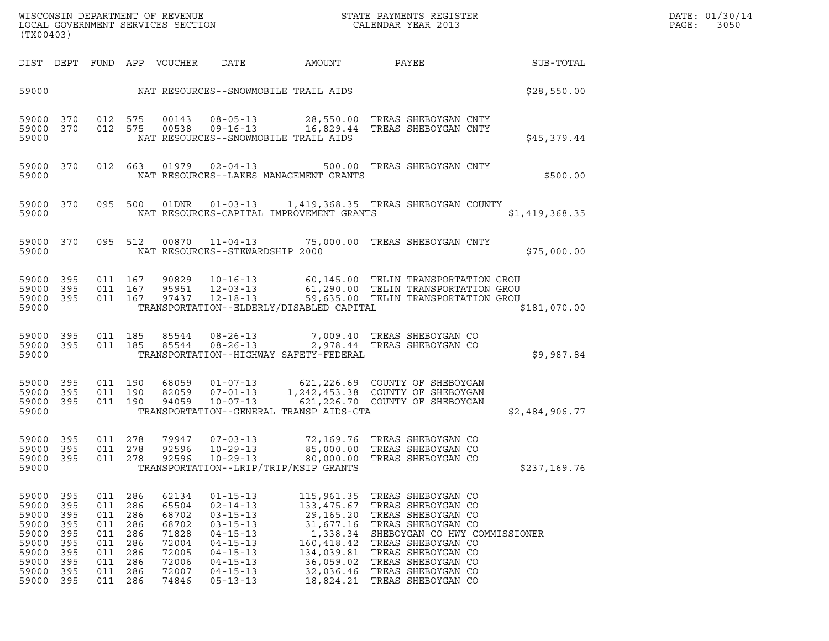| DATE: | 01/30/14 |
|-------|----------|
| PAGE: | 3050     |

| (TX00403)                                                                              |                                                                      |                                                                                |                                               |                                                                                        |                                                                                                                                                                                  | WISCONSIN DEPARTMENT OF REVENUE<br>LOCAL GOVERNMENT SERVICES SECTION | STATE PAYMENTS REGISTER<br>CALENDAR YEAR 2013                                                                                                                                                                                                                                        |                | DATE: 01/30/14<br>PAGE:<br>3050 |
|----------------------------------------------------------------------------------------|----------------------------------------------------------------------|--------------------------------------------------------------------------------|-----------------------------------------------|----------------------------------------------------------------------------------------|----------------------------------------------------------------------------------------------------------------------------------------------------------------------------------|----------------------------------------------------------------------|--------------------------------------------------------------------------------------------------------------------------------------------------------------------------------------------------------------------------------------------------------------------------------------|----------------|---------------------------------|
|                                                                                        |                                                                      |                                                                                |                                               | DIST DEPT FUND APP VOUCHER                                                             | DATE                                                                                                                                                                             | AMOUNT                                                               | PAYEE                                                                                                                                                                                                                                                                                | SUB-TOTAL      |                                 |
| 59000                                                                                  |                                                                      |                                                                                |                                               |                                                                                        |                                                                                                                                                                                  | NAT RESOURCES--SNOWMOBILE TRAIL AIDS                                 |                                                                                                                                                                                                                                                                                      | \$28,550.00    |                                 |
| 59000 370<br>59000 370<br>59000                                                        |                                                                      | 012 575<br>012 575                                                             |                                               | 00143<br>00538                                                                         | $08 - 05 - 13$<br>$09 - 16 - 13$                                                                                                                                                 | NAT RESOURCES--SNOWMOBILE TRAIL AIDS                                 | 28,550.00 TREAS SHEBOYGAN CNTY<br>16,829.44   TREAS SHEBOYGAN CNTY                                                                                                                                                                                                                   | \$45,379.44    |                                 |
| 59000 370<br>59000                                                                     |                                                                      |                                                                                |                                               |                                                                                        | 012 663 01979 02-04-13                                                                                                                                                           | NAT RESOURCES--LAKES MANAGEMENT GRANTS                               | 500.00 TREAS SHEBOYGAN CNTY                                                                                                                                                                                                                                                          | \$500.00       |                                 |
| 59000                                                                                  | 59000 370                                                            |                                                                                |                                               |                                                                                        |                                                                                                                                                                                  | NAT RESOURCES-CAPITAL IMPROVEMENT GRANTS                             | 095 500 01DNR 01-03-13 1,419,368.35 TREAS SHEBOYGAN COUNTY                                                                                                                                                                                                                           | \$1,419,368.35 |                                 |
| 59000                                                                                  | 59000 370                                                            |                                                                                |                                               |                                                                                        | 095 512 00870 11-04-13<br>NAT RESOURCES--STEWARDSHIP 2000                                                                                                                        |                                                                      | 75,000.00 TREAS SHEBOYGAN CNTY                                                                                                                                                                                                                                                       | \$75,000.00    |                                 |
| 59000 395<br>59000 395<br>59000 395<br>59000                                           |                                                                      | 011 167<br>011 167                                                             | 011 167                                       | 97437                                                                                  | 90829 10-16-13<br>95951 12-03-13<br>12-18-13                                                                                                                                     | TRANSPORTATION--ELDERLY/DISABLED CAPITAL                             | 60,145.00 TELIN TRANSPORTATION GROU<br>61,290.00 TELIN TRANSPORTATION GROU<br>59,635.00 TELIN TRANSPORTATION GROU                                                                                                                                                                    | \$181,070.00   |                                 |
| 59000 395<br>59000 395<br>59000                                                        |                                                                      | 011 185<br>011 185                                                             |                                               | 85544<br>85544                                                                         | $08 - 26 - 13$<br>$08 - 26 - 13$                                                                                                                                                 | TRANSPORTATION--HIGHWAY SAFETY-FEDERAL                               | 7,009.40 TREAS SHEBOYGAN CO<br>2,978.44 TREAS SHEBOYGAN CO                                                                                                                                                                                                                           | \$9,987.84     |                                 |
| 59000 395<br>59000 395<br>59000 395<br>59000                                           |                                                                      | 011 190<br>011 190<br>011 190                                                  |                                               | 68059<br>82059<br>94059                                                                | $01 - 07 - 13$<br>$07 - 01 - 13$<br>10-07-13                                                                                                                                     | TRANSPORTATION--GENERAL TRANSP AIDS-GTA                              | 621,226.69 COUNTY OF SHEBOYGAN<br>1,242.453.38 COUNTY OF SHEBOYGAN<br>1,242,453.38 COUNTY OF SHEBOYGAN<br>621,226.70 COUNTY OF SHEBOYGAN                                                                                                                                             | \$2,484,906.77 |                                 |
| 59000 395<br>59000 395<br>59000 395<br>59000                                           |                                                                      | 011 278<br>011 278<br>011 278                                                  |                                               | 79947<br>92596<br>92596                                                                | 07-03-13<br>$10 - 29 - 13$<br>$10 - 29 - 13$                                                                                                                                     | TRANSPORTATION--LRIP/TRIP/MSIP GRANTS                                | 72,169.76 TREAS SHEBOYGAN CO<br>85,000.00 TREAS SHEBOYGAN CO<br>80,000.00 TREAS SHEBOYGAN CO                                                                                                                                                                                         | \$237,169.76   |                                 |
| 59000<br>59000<br>59000<br>59000<br>59000<br>59000<br>59000<br>59000<br>59000<br>59000 | 395<br>395<br>395<br>395<br>395<br>395<br>395<br>395<br>395<br>- 395 | 011<br>011<br>011<br>011<br>011<br>011<br>011<br>011 286<br>011 286<br>011 286 | 286<br>286<br>286<br>286<br>286<br>286<br>286 | 62134<br>65504<br>68702<br>68702<br>71828<br>72004<br>72005<br>72006<br>72007<br>74846 | $01 - 15 - 13$<br>$02 - 14 - 13$<br>$03 - 15 - 13$<br>$03 - 15 - 13$<br>$04 - 15 - 13$<br>$04 - 15 - 13$<br>$04 - 15 - 13$<br>$04 - 15 - 13$<br>$04 - 15 - 13$<br>$05 - 13 - 13$ | 115,961.35<br>133,475.67<br>29,165.20<br>160,418.42<br>134,039.81    | TREAS SHEBOYGAN CO<br>TREAS SHEBOYGAN CO<br>TREAS SHEBOYGAN CO<br>31,677.16 TREAS SHEBOYGAN CO<br>1,338.34 SHEBOYGAN CO HWY COMMISSIONER<br>TREAS SHEBOYGAN CO<br>TREAS SHEBOYGAN CO<br>36,059.02 TREAS SHEBOYGAN CO<br>32,036.46 TREAS SHEBOYGAN CO<br>18,824.21 TREAS SHEBOYGAN CO |                |                                 |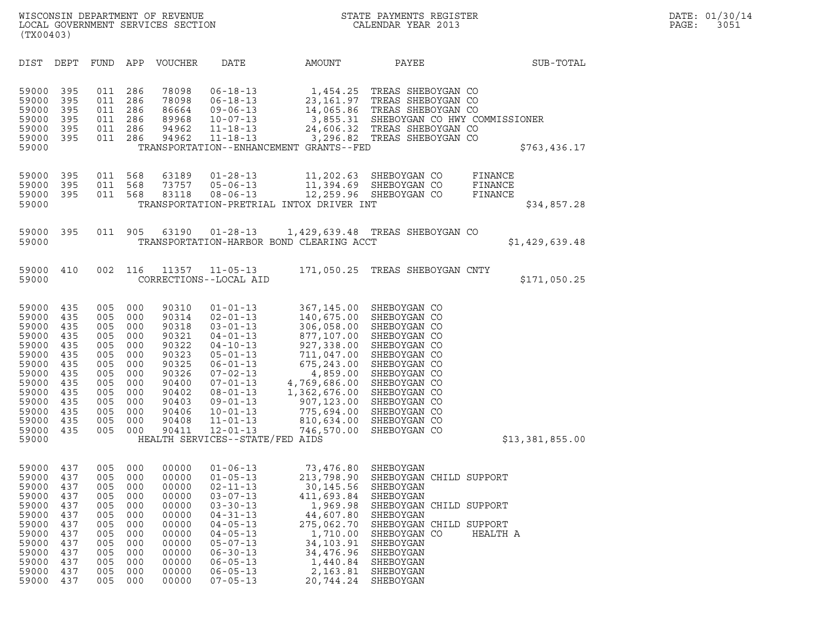| (TX00403)                                                                                                                           |                                                                                                |                                                                                                |                                                                                                |                                                                                                                            |                                                                                                                                                                                                                                                                                             |                                                                                                                                                                                                    |                                                                                                                                                                                                                              |                                              |
|-------------------------------------------------------------------------------------------------------------------------------------|------------------------------------------------------------------------------------------------|------------------------------------------------------------------------------------------------|------------------------------------------------------------------------------------------------|----------------------------------------------------------------------------------------------------------------------------|---------------------------------------------------------------------------------------------------------------------------------------------------------------------------------------------------------------------------------------------------------------------------------------------|----------------------------------------------------------------------------------------------------------------------------------------------------------------------------------------------------|------------------------------------------------------------------------------------------------------------------------------------------------------------------------------------------------------------------------------|----------------------------------------------|
| <b>DIST</b>                                                                                                                         | DEPT                                                                                           | FUND                                                                                           | APP                                                                                            | VOUCHER                                                                                                                    | DATE                                                                                                                                                                                                                                                                                        | AMOUNT                                                                                                                                                                                             | PAYEE                                                                                                                                                                                                                        | SUB-TOTAL                                    |
| 59000<br>59000<br>59000<br>59000<br>59000<br>59000<br>59000                                                                         | 395<br>395<br>395<br>395<br>395<br>395                                                         | 011<br>011<br>011<br>011<br>011<br>011                                                         | 286<br>286<br>286<br>286<br>286<br>286                                                         | 78098<br>78098<br>86664<br>89968<br>94962<br>94962                                                                         | $06 - 18 - 13$<br>$06 - 18 - 13$<br>$09 - 06 - 13$<br>$10 - 07 - 13$<br>$11 - 18 - 13$<br>$11 - 18 - 13$                                                                                                                                                                                    | 1,454.25<br>23,161.97<br>14,065.86<br>24,606.32<br>3,296.82<br>TRANSPORTATION--ENHANCEMENT GRANTS--FED                                                                                             | TREAS SHEBOYGAN CO<br>TREAS SHEBOYGAN CO<br>TREAS SHEBOYGAN CO<br>3,855.31 SHEBOYGAN CO HWY COMMISSIONER<br>TREAS SHEBOYGAN CO<br>TREAS SHEBOYGAN CO                                                                         | \$763,436.17                                 |
| 59000<br>59000<br>59000<br>59000                                                                                                    | 395<br>395<br>395                                                                              | 011<br>011<br>011                                                                              | 568<br>568<br>568                                                                              | 63189<br>73757<br>83118                                                                                                    | $01 - 28 - 13$<br>$05 - 06 - 13$<br>$08 - 06 - 13$                                                                                                                                                                                                                                          | 11,202.63<br>11,394.69<br>12,259.96<br>TRANSPORTATION-PRETRIAL INTOX DRIVER INT                                                                                                                    | SHEBOYGAN CO<br>SHEBOYGAN CO<br>SHEBOYGAN CO                                                                                                                                                                                 | FINANCE<br>FINANCE<br>FINANCE<br>\$34,857.28 |
| 59000<br>59000                                                                                                                      | 395                                                                                            | 011                                                                                            | 905                                                                                            | 63190                                                                                                                      | $01 - 28 - 13$                                                                                                                                                                                                                                                                              | TRANSPORTATION-HARBOR BOND CLEARING ACCT                                                                                                                                                           | 1,429,639.48 TREAS SHEBOYGAN CO                                                                                                                                                                                              | \$1,429,639.48                               |
| 59000<br>59000                                                                                                                      | 410                                                                                            | 002                                                                                            | 116                                                                                            | 11357                                                                                                                      | $11 - 05 - 13$<br>CORRECTIONS--LOCAL AID                                                                                                                                                                                                                                                    |                                                                                                                                                                                                    | 171,050.25 TREAS SHEBOYGAN CNTY                                                                                                                                                                                              | \$171,050.25                                 |
| 59000<br>59000<br>59000<br>59000<br>59000<br>59000<br>59000<br>59000<br>59000<br>59000<br>59000<br>59000<br>59000<br>59000<br>59000 | 435<br>435<br>435<br>435<br>435<br>435<br>435<br>435<br>435<br>435<br>435<br>435<br>435<br>435 | 005<br>005<br>005<br>005<br>005<br>005<br>005<br>005<br>005<br>005<br>005<br>005<br>005<br>005 | 000<br>000<br>000<br>000<br>000<br>000<br>000<br>000<br>000<br>000<br>000<br>000<br>000<br>000 | 90310<br>90314<br>90318<br>90321<br>90322<br>90323<br>90325<br>90326<br>90400<br>90402<br>90403<br>90406<br>90408<br>90411 | $01 - 01 - 13$<br>$02 - 01 - 13$<br>$03 - 01 - 13$<br>$04 - 01 - 13$<br>$04 - 10 - 13$<br>$05 - 01 - 13$<br>$06 - 01 - 13$<br>$07 - 02 - 13$<br>$07 - 01 - 13$<br>$08 - 01 - 13$<br>$09 - 01 - 13$<br>$10 - 01 - 13$<br>$11 - 01 - 13$<br>$12 - 01 - 13$<br>HEALTH SERVICES--STATE/FED AIDS | 367,145.00<br>140,675.00<br>306,058.00<br>877,107.00<br>927,338.00<br>711,047.00<br>675,243.00<br>4,859.00<br>4,769,686.00<br>1,362,676.00<br>907,123.00<br>775,694.00<br>810,634.00<br>746,570.00 | SHEBOYGAN CO<br>SHEBOYGAN CO<br>SHEBOYGAN CO<br>SHEBOYGAN CO<br>SHEBOYGAN CO<br>SHEBOYGAN CO<br>SHEBOYGAN CO<br>SHEBOYGAN CO<br>SHEBOYGAN CO<br>SHEBOYGAN CO<br>SHEBOYGAN CO<br>SHEBOYGAN CO<br>SHEBOYGAN CO<br>SHEBOYGAN CO | \$13,381,855.00                              |
| 59000<br>59000<br>59000<br>59000<br>59000<br>59000<br>59000<br>59000<br>59000<br>59000<br>59000<br>59000<br>59000                   | 437<br>437<br>437<br>437<br>437<br>437<br>437<br>437<br>437<br>437<br>437<br>437<br>437        | 005<br>005<br>005<br>005<br>005<br>005<br>005<br>005<br>005<br>005<br>005<br>005<br>005        | 000<br>000<br>000<br>000<br>000<br>000<br>000<br>000<br>000<br>000<br>000<br>000<br>000        | 00000<br>00000<br>00000<br>00000<br>00000<br>00000<br>00000<br>00000<br>00000<br>00000<br>00000<br>00000<br>00000          | $01 - 06 - 13$<br>$01 - 05 - 13$<br>$02 - 11 - 13$<br>$03 - 07 - 13$<br>$03 - 30 - 13$<br>$04 - 31 - 13$<br>$04 - 05 - 13$<br>$04 - 05 - 13$<br>$05 - 07 - 13$<br>$06 - 30 - 13$<br>$06 - 05 - 13$<br>$06 - 05 - 13$<br>$07 - 05 - 13$                                                      | 73,476.80 SHEBOYGAN<br>30,145.56<br>411,693.84<br>1,969.98<br>44,607.80<br>275,062.70<br>1,710.00<br>34, 103.91<br>34,476.96<br>1,440.84<br>2,163.81<br>20,744.24                                  | 213,798.90 SHEBOYGAN CHILD SUPPORT<br>SHEBOYGAN<br>SHEBOYGAN<br>SHEBOYGAN CHILD SUPPORT<br>SHEBOYGAN<br>SHEBOYGAN CHILD SUPPORT<br>SHEBOYGAN CO<br>SHEBOYGAN<br>SHEBOYGAN<br>SHEBOYGAN<br>SHEBOYGAN<br>SHEBOYGAN             | HEALTH A                                     |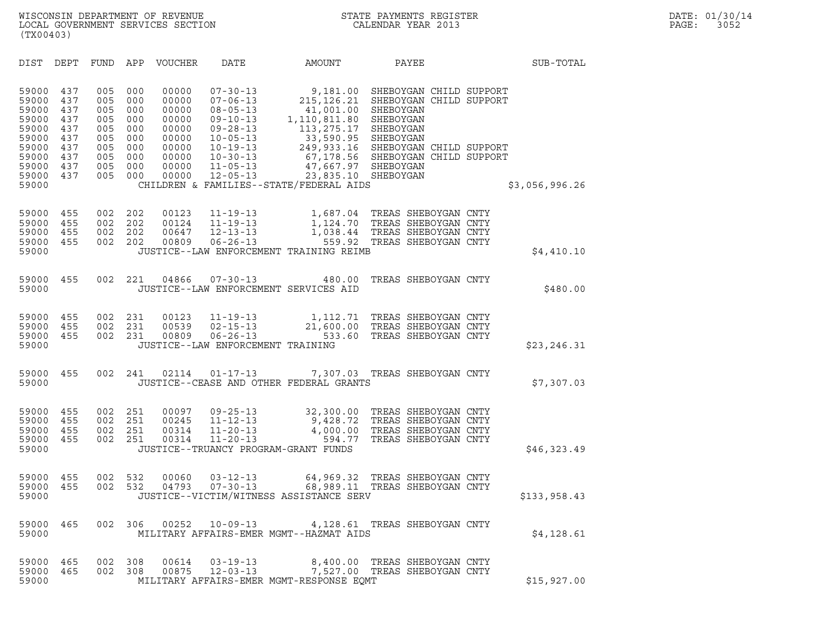| (TX00403)                                                                                       |                                                                    |                                                                    |                                                                    |                                                                                        |                                                                                                                                                                                  |                                                                                                                                                                   |                                                                                                                                                                                                   |                |  |
|-------------------------------------------------------------------------------------------------|--------------------------------------------------------------------|--------------------------------------------------------------------|--------------------------------------------------------------------|----------------------------------------------------------------------------------------|----------------------------------------------------------------------------------------------------------------------------------------------------------------------------------|-------------------------------------------------------------------------------------------------------------------------------------------------------------------|---------------------------------------------------------------------------------------------------------------------------------------------------------------------------------------------------|----------------|--|
| <b>DIST</b>                                                                                     | DEPT                                                               | <b>FUND</b>                                                        | APP                                                                | <b>VOUCHER</b>                                                                         | <b>DATE</b>                                                                                                                                                                      | AMOUNT                                                                                                                                                            | PAYEE                                                                                                                                                                                             | SUB-TOTAL      |  |
| 59000<br>59000<br>59000<br>59000<br>59000<br>59000<br>59000<br>59000<br>59000<br>59000<br>59000 | 437<br>437<br>437<br>437<br>437<br>437<br>437<br>437<br>437<br>437 | 005<br>005<br>005<br>005<br>005<br>005<br>005<br>005<br>005<br>005 | 000<br>000<br>000<br>000<br>000<br>000<br>000<br>000<br>000<br>000 | 00000<br>00000<br>00000<br>00000<br>00000<br>00000<br>00000<br>00000<br>00000<br>00000 | $07 - 30 - 13$<br>$07 - 06 - 13$<br>$08 - 05 - 13$<br>$09 - 10 - 13$<br>$09 - 28 - 13$<br>$10 - 05 - 13$<br>$10 - 19 - 13$<br>$10 - 30 - 13$<br>$11 - 05 - 13$<br>$12 - 05 - 13$ | 9,181.00<br>215, 126.21<br>41,001.00<br>1,110,811.80<br>113,275.17<br>33,590.95<br>67,178.56<br>47,667.97<br>23,835.10<br>CHILDREN & FAMILIES--STATE/FEDERAL AIDS | SHEBOYGAN CHILD SUPPORT<br>SHEBOYGAN CHILD SUPPORT<br>SHEBOYGAN<br>SHEBOYGAN<br>SHEBOYGAN<br>SHEBOYGAN<br>249,933.16 SHEBOYGAN CHILD SUPPORT<br>SHEBOYGAN CHILD SUPPORT<br>SHEBOYGAN<br>SHEBOYGAN | \$3,056,996.26 |  |
|                                                                                                 |                                                                    |                                                                    |                                                                    |                                                                                        |                                                                                                                                                                                  |                                                                                                                                                                   |                                                                                                                                                                                                   |                |  |
| 59000<br>59000<br>59000<br>59000<br>59000                                                       | 455<br>455<br>455<br>455                                           | 002<br>002<br>002<br>002                                           | 202<br>202<br>202<br>202                                           | 00123<br>00124<br>00647<br>00809                                                       | $11 - 19 - 13$<br>$11 - 19 - 13$<br>$12 - 13 - 13$<br>$06 - 26 - 13$                                                                                                             | 1,687.04<br>1,124.70<br>1,038.44<br>559.92<br>JUSTICE--LAW ENFORCEMENT TRAINING REIMB                                                                             | TREAS SHEBOYGAN CNTY<br>TREAS SHEBOYGAN CNTY<br>TREAS SHEBOYGAN CNTY<br>TREAS SHEBOYGAN CNTY                                                                                                      | \$4,410.10     |  |
| 59000<br>59000                                                                                  | 455                                                                | 002                                                                | 221                                                                | 04866                                                                                  | $07 - 30 - 13$                                                                                                                                                                   | 480.00<br>JUSTICE--LAW ENFORCEMENT SERVICES AID                                                                                                                   | TREAS SHEBOYGAN CNTY                                                                                                                                                                              | \$480.00       |  |
| 59000<br>59000<br>59000<br>59000                                                                | 455<br>455<br>455                                                  | 002<br>002<br>002                                                  | 231<br>231<br>231                                                  | 00123<br>00539<br>00809                                                                | $11 - 19 - 13$<br>$02 - 15 - 13$<br>$06 - 26 - 13$<br>JUSTICE--LAW ENFORCEMENT TRAINING                                                                                          | 1,112.71<br>21,600.00<br>533.60                                                                                                                                   | TREAS SHEBOYGAN CNTY<br>TREAS SHEBOYGAN CNTY<br>TREAS SHEBOYGAN CNTY                                                                                                                              | \$23, 246.31   |  |
| 59000<br>59000                                                                                  | 455                                                                | 002                                                                | 241                                                                | 02114                                                                                  | $01 - 17 - 13$                                                                                                                                                                   | 7,307.03<br>JUSTICE--CEASE AND OTHER FEDERAL GRANTS                                                                                                               | TREAS SHEBOYGAN CNTY                                                                                                                                                                              | \$7,307.03     |  |
| 59000<br>59000<br>59000<br>59000<br>59000                                                       | 455<br>455<br>455<br>455                                           | 002<br>002<br>002<br>002                                           | 251<br>251<br>251<br>251                                           | 00097<br>00245<br>00314<br>00314                                                       | $09 - 25 - 13$<br>$11 - 12 - 13$<br>$11 - 20 - 13$<br>$11 - 20 - 13$<br>JUSTICE--TRUANCY PROGRAM-GRANT FUNDS                                                                     | 32,300.00<br>9,428.72<br>4,000.00<br>594.77                                                                                                                       | TREAS SHEBOYGAN CNTY<br>TREAS SHEBOYGAN CNTY<br>TREAS SHEBOYGAN CNTY<br>TREAS SHEBOYGAN CNTY                                                                                                      | \$46,323.49    |  |
| 59000<br>59000<br>59000                                                                         | 455<br>455                                                         | 002<br>002                                                         | 532<br>532                                                         | 00060<br>04793                                                                         | $03 - 12 - 13$<br>$07 - 30 - 13$                                                                                                                                                 | 64,969.32<br>68,989.11<br>JUSTICE--VICTIM/WITNESS ASSISTANCE SERV                                                                                                 | TREAS SHEBOYGAN CNTY<br>TREAS SHEBOYGAN CNTY                                                                                                                                                      | \$133,958.43   |  |
| 59000<br>59000                                                                                  | 465                                                                | 002                                                                | 306                                                                | 00252                                                                                  | $10 - 09 - 13$                                                                                                                                                                   | 4,128.61<br>MILITARY AFFAIRS-EMER MGMT--HAZMAT AIDS                                                                                                               | TREAS SHEBOYGAN CNTY                                                                                                                                                                              | \$4,128.61     |  |
|                                                                                                 |                                                                    |                                                                    |                                                                    |                                                                                        |                                                                                                                                                                                  |                                                                                                                                                                   |                                                                                                                                                                                                   |                |  |

| 59000                          |  |         |       |                            | MILITARY AFFAIRS-EMER MGMT--HAZMAT AIDS  |                                                                | \$4,128.61  |
|--------------------------------|--|---------|-------|----------------------------|------------------------------------------|----------------------------------------------------------------|-------------|
| 59000 465 002 308<br>59000 465 |  | 002 308 | 00614 | 03-19-13<br>00875 12-03-13 |                                          | 8,400.00 TREAS SHEBOYGAN CNTY<br>7,527.00 TREAS SHEBOYGAN CNTY |             |
| 59000                          |  |         |       |                            | MILITARY AFFAIRS-EMER MGMT-RESPONSE EOMT |                                                                | \$15,927.00 |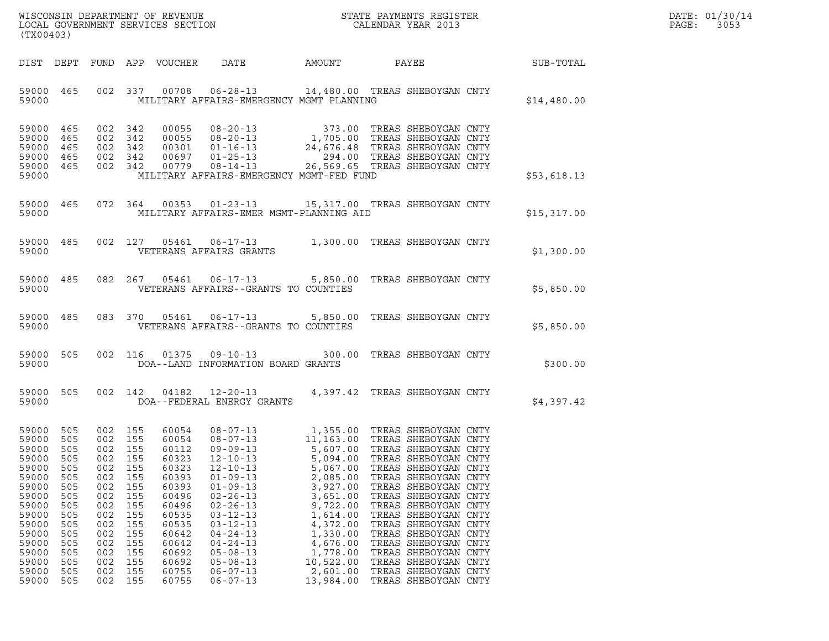| DATE: | 01/30/14 |
|-------|----------|
| PAGE: | 3053     |

| (TX00403)                                                                                                                                             |                                                                                                                     |                                                                                                                                 |                                                                                                |                                                                                                                                                       | $\tt WISCONSIM DEPARTMENT OF REVENUE$ $\tt WISCONSIM EN THE RAYMENTS REGISTERLOCAL GOVERNMENT SERVICES SECTION CALENDAR YEAR 2013$                                                                                                                                                                                                     |                                                                                                                                                                                                          |                                                                                                                                                                                                                                                                                                                                                                               |             | DATE: 01/30/14<br>PAGE:<br>3053 |
|-------------------------------------------------------------------------------------------------------------------------------------------------------|---------------------------------------------------------------------------------------------------------------------|---------------------------------------------------------------------------------------------------------------------------------|------------------------------------------------------------------------------------------------|-------------------------------------------------------------------------------------------------------------------------------------------------------|----------------------------------------------------------------------------------------------------------------------------------------------------------------------------------------------------------------------------------------------------------------------------------------------------------------------------------------|----------------------------------------------------------------------------------------------------------------------------------------------------------------------------------------------------------|-------------------------------------------------------------------------------------------------------------------------------------------------------------------------------------------------------------------------------------------------------------------------------------------------------------------------------------------------------------------------------|-------------|---------------------------------|
|                                                                                                                                                       |                                                                                                                     |                                                                                                                                 |                                                                                                | DIST DEPT FUND APP VOUCHER                                                                                                                            | DATE                                                                                                                                                                                                                                                                                                                                   | <b>AMOUNT</b>                                                                                                                                                                                            | PAYEE                                                                                                                                                                                                                                                                                                                                                                         | SUB-TOTAL   |                                 |
| 59000 465<br>59000                                                                                                                                    |                                                                                                                     |                                                                                                                                 | 002 337                                                                                        | 00708                                                                                                                                                 | 06-28-13 14,480.00 TREAS SHEBOYGAN CNTY<br>MILITARY AFFAIRS-EMERGENCY MGMT PLANNING                                                                                                                                                                                                                                                    |                                                                                                                                                                                                          |                                                                                                                                                                                                                                                                                                                                                                               | \$14,480.00 |                                 |
| 59000<br>59000<br>59000<br>59000 465<br>59000 465<br>59000                                                                                            | 465<br>465<br>465                                                                                                   | 002 342<br>002 342<br>002 342<br>002 342                                                                                        | 002 342                                                                                        |                                                                                                                                                       | 00055 08-20-13 373.00 TREAS SHEBOYGAN CNTY<br>00055 08-20-13 1,705.00 TREAS SHEBOYGAN CNTY<br>00301 01-16-13 24,676.48 TREAS SHEBOYGAN CNTY<br>00697 01-25-13 256.00 TREAS SHEBOYGAN CNTY<br>00779 08-14-13 26.56 TREAS SHEBOYGAN CNTY<br>00779  08-14-13<br>MILITARY AFFAIRS-EMERGENCY MGMT-FED FUND                                  | 26,569.65 TREAS SHEBOYGAN CNTY                                                                                                                                                                           |                                                                                                                                                                                                                                                                                                                                                                               | \$53,618.13 |                                 |
| 59000 465<br>59000                                                                                                                                    |                                                                                                                     |                                                                                                                                 | 072 364                                                                                        |                                                                                                                                                       | 00353  01-23-13  15,317.00  TREAS SHEBOYGAN CNTY<br>MILITARY AFFAIRS-EMER MGMT-PLANNING AID                                                                                                                                                                                                                                            |                                                                                                                                                                                                          |                                                                                                                                                                                                                                                                                                                                                                               | \$15,317.00 |                                 |
| 59000 485<br>59000                                                                                                                                    |                                                                                                                     |                                                                                                                                 | 002 127                                                                                        | 05461                                                                                                                                                 | 06-17-13 1,300.00 TREAS SHEBOYGAN CNTY<br>VETERANS AFFAIRS GRANTS                                                                                                                                                                                                                                                                      |                                                                                                                                                                                                          |                                                                                                                                                                                                                                                                                                                                                                               | \$1,300.00  |                                 |
| 59000 485<br>59000                                                                                                                                    |                                                                                                                     |                                                                                                                                 | 082 267                                                                                        |                                                                                                                                                       | 05461  06-17-13  5,850.00 TREAS SHEBOYGAN CNTY<br>VETERANS AFFAIRS--GRANTS TO COUNTIES                                                                                                                                                                                                                                                 |                                                                                                                                                                                                          |                                                                                                                                                                                                                                                                                                                                                                               | \$5,850.00  |                                 |
| 59000 485<br>59000                                                                                                                                    |                                                                                                                     |                                                                                                                                 | 083 370                                                                                        | 05461                                                                                                                                                 | 06-17-13 5,850.00 TREAS SHEBOYGAN CNTY<br>VETERANS AFFAIRS--GRANTS TO COUNTIES                                                                                                                                                                                                                                                         |                                                                                                                                                                                                          |                                                                                                                                                                                                                                                                                                                                                                               | \$5,850.00  |                                 |
| 59000<br>59000                                                                                                                                        | 505                                                                                                                 |                                                                                                                                 | 002 116                                                                                        | 01375                                                                                                                                                 | 09-10-13 300.00 TREAS SHEBOYGAN CNTY<br>DOA--LAND INFORMATION BOARD GRANTS                                                                                                                                                                                                                                                             |                                                                                                                                                                                                          |                                                                                                                                                                                                                                                                                                                                                                               | \$300.00    |                                 |
| 59000 505<br>59000                                                                                                                                    |                                                                                                                     |                                                                                                                                 |                                                                                                | 002 142 04182                                                                                                                                         | 12-20-13 4,397.42 TREAS SHEBOYGAN CNTY<br>DOA--FEDERAL ENERGY GRANTS                                                                                                                                                                                                                                                                   |                                                                                                                                                                                                          |                                                                                                                                                                                                                                                                                                                                                                               | \$4,397.42  |                                 |
| 59000<br>59000<br>59000<br>59000<br>59000<br>59000<br>59000<br>59000<br>59000<br>59000<br>59000<br>59000<br>59000<br>59000<br>59000<br>59000<br>59000 | 505<br>505<br>505<br>505<br>505<br>505<br>505<br>505<br>505<br>505<br>505<br>505<br>505<br>505<br>505<br>505<br>505 | 002 155<br>002 155<br>002 155<br>002<br>002<br>002<br>002<br>002<br>002<br>002<br>002<br>002<br>002<br>002<br>002<br>002<br>002 | 155<br>155<br>155<br>155<br>155<br>155<br>155<br>155<br>155<br>155<br>155<br>155<br>155<br>155 | 60054<br>60054<br>60112<br>60323<br>60323<br>60393<br>60393<br>60496<br>60496<br>60535<br>60535<br>60642<br>60642<br>60692<br>60692<br>60755<br>60755 | 08-07-13 1,355.00 TREAS SHEBOYGAN CNTY<br>$08 - 07 - 13$<br>$09 - 09 - 13$<br>$12 - 10 - 13$<br>$12 - 10 - 13$<br>$01 - 09 - 13$<br>$01 - 09 - 13$<br>$02 - 26 - 13$<br>$02 - 26 - 13$<br>$03 - 12 - 13$<br>$03 - 12 - 13$<br>$04 - 24 - 13$<br>$04 - 24 - 13$<br>$05 - 08 - 13$<br>$05 - 08 - 13$<br>$06 - 07 - 13$<br>$06 - 07 - 13$ | 11,163.00 TREAS SHEBOYGAN CNTY<br>5,094.00<br>5,067.00<br>2,085.00<br>3,927.00<br>3,651.00<br>9,722.00<br>1,614.00<br>4,372.00<br>1,330.00<br>4,676.00<br>1,778.00<br>10,522.00<br>2,601.00<br>13,984.00 | 5,607.00 TREAS SHEBOYGAN CNTY<br>TREAS SHEBOYGAN CNTY<br>TREAS SHEBOYGAN CNTY<br>TREAS SHEBOYGAN CNTY<br>TREAS SHEBOYGAN CNTY<br>TREAS SHEBOYGAN CNTY<br>TREAS SHEBOYGAN CNTY<br>TREAS SHEBOYGAN CNTY<br>TREAS SHEBOYGAN CNTY<br>TREAS SHEBOYGAN CNTY<br>TREAS SHEBOYGAN CNTY<br>TREAS SHEBOYGAN CNTY<br>TREAS SHEBOYGAN CNTY<br>TREAS SHEBOYGAN CNTY<br>TREAS SHEBOYGAN CNTY |             |                                 |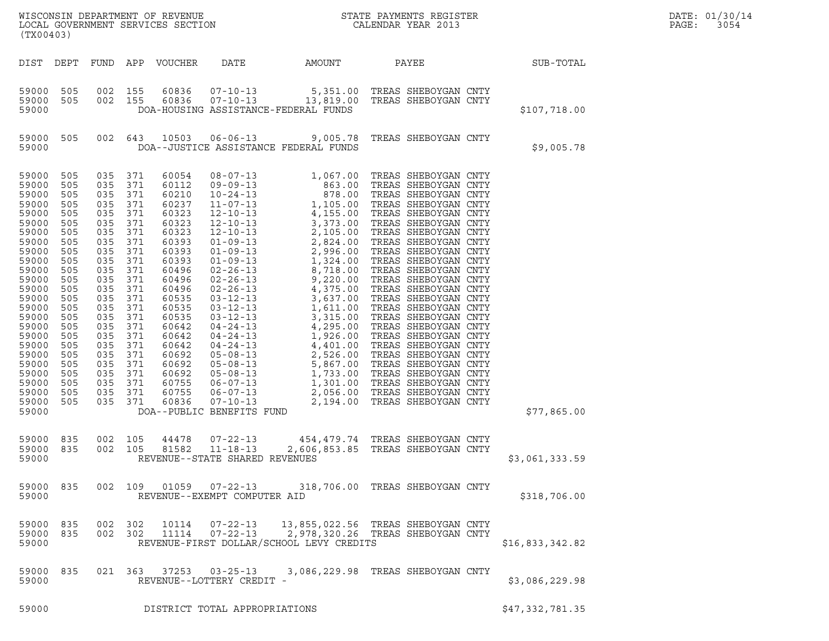| (TX00403)                                                                                                                                                                                                                              |                                                                                                                                                                             |                                                                                                                                                                                                                                     |                                                                           |                                                                                                                                                                                                                               |                                |                                          |                                                                                                             |                 | DATE: 01/30/14<br>PAGE:<br>3054 |
|----------------------------------------------------------------------------------------------------------------------------------------------------------------------------------------------------------------------------------------|-----------------------------------------------------------------------------------------------------------------------------------------------------------------------------|-------------------------------------------------------------------------------------------------------------------------------------------------------------------------------------------------------------------------------------|---------------------------------------------------------------------------|-------------------------------------------------------------------------------------------------------------------------------------------------------------------------------------------------------------------------------|--------------------------------|------------------------------------------|-------------------------------------------------------------------------------------------------------------|-----------------|---------------------------------|
|                                                                                                                                                                                                                                        |                                                                                                                                                                             |                                                                                                                                                                                                                                     |                                                                           | DIST DEPT FUND APP VOUCHER                                                                                                                                                                                                    |                                | DATE AMOUNT                              | PAYEE                                                                                                       | SUB-TOTAL       |                                 |
| 59000 505<br>59000 505<br>59000                                                                                                                                                                                                        |                                                                                                                                                                             | 002 155<br>002 155                                                                                                                                                                                                                  |                                                                           |                                                                                                                                                                                                                               |                                | DOA-HOUSING ASSISTANCE-FEDERAL FUNDS     | 60836  07-10-13  5,351.00 TREAS SHEBOYGAN CNTY<br>60836  07-10-13   13,819.00 TREAS SHEBOYGAN CNTY          | \$107,718.00    |                                 |
| 59000 505<br>59000                                                                                                                                                                                                                     |                                                                                                                                                                             |                                                                                                                                                                                                                                     |                                                                           |                                                                                                                                                                                                                               |                                | DOA--JUSTICE ASSISTANCE FEDERAL FUNDS    | 002 643 10503 06-06-13 9,005.78 TREAS SHEBOYGAN CNTY                                                        | \$9,005.78      |                                 |
| 59000<br>59000<br>59000<br>59000<br>59000<br>59000<br>59000<br>59000<br>59000<br>59000<br>59000<br>59000<br>59000<br>59000<br>59000<br>59000<br>59000<br>59000<br>59000<br>59000<br>59000<br>59000<br>59000<br>59000<br>59000<br>59000 | 505<br>505<br>505<br>505<br>505<br>505<br>505<br>505<br>505<br>505<br>505<br>505<br>505<br>505<br>505<br>505<br>505<br>505<br>505<br>505<br>505<br>505<br>505<br>505<br>505 | 035<br>035 371<br>035<br>035 371<br>035<br>035 371<br>035<br>035 371<br>035<br>035 371<br>035<br>035 371<br>035<br>035 371<br>035<br>035 371<br>035<br>035 371<br>035<br>035 371<br>035<br>035 371<br>035 371<br>035 371<br>035 371 | 371<br>371<br>371<br>371<br>371<br>371<br>371<br>371<br>371<br>371<br>371 | 60054<br>60112<br>60210<br>60237<br>60323<br>60323<br>60323<br>60393<br>60393<br>60393<br>60496<br>60496<br>60496<br>60535<br>60535<br>60535<br>60642<br>60642<br>60642<br>60692<br>60692<br>60692<br>60755<br>60755<br>60836 | DOA--PUBLIC BENEFITS FUND      |                                          |                                                                                                             | \$77,865.00     |                                 |
| 59000<br>59000 835<br>59000                                                                                                                                                                                                            | 835                                                                                                                                                                         | 002 105<br>002 105                                                                                                                                                                                                                  |                                                                           | 44478<br>81582                                                                                                                                                                                                                | REVENUE--STATE SHARED REVENUES |                                          | 07-22-13 454,479.74 TREAS SHEBOYGAN CNTY<br>11-18-13 2,606,853.85 TREAS SHEBOYGAN CNTY                      | \$3,061,333.59  |                                 |
| 59000                                                                                                                                                                                                                                  |                                                                                                                                                                             |                                                                                                                                                                                                                                     |                                                                           |                                                                                                                                                                                                                               | REVENUE--EXEMPT COMPUTER AID   |                                          | 59000 835 002 109 01059 07-22-13 318,706.00 TREAS SHEBOYGAN CNTY                                            | \$318,706.00    |                                 |
| 59000                                                                                                                                                                                                                                  | 59000 835                                                                                                                                                                   | 59000 835 002 302                                                                                                                                                                                                                   | 002 302                                                                   |                                                                                                                                                                                                                               |                                | REVENUE-FIRST DOLLAR/SCHOOL LEVY CREDITS | 10114  07-22-13  13,855,022.56  TREAS SHEBOYGAN CNTY<br>11114  07-22-13  2,978,320.26  TREAS SHEBOYGAN CNTY | \$16,833,342.82 |                                 |
| 59000 835<br>59000                                                                                                                                                                                                                     |                                                                                                                                                                             |                                                                                                                                                                                                                                     |                                                                           |                                                                                                                                                                                                                               | REVENUE--LOTTERY CREDIT -      |                                          | 021  363  37253  03-25-13  3,086,229.98  TREAS SHEBOYGAN CNTY                                               | \$3,086,229.98  |                                 |
| 59000                                                                                                                                                                                                                                  |                                                                                                                                                                             |                                                                                                                                                                                                                                     |                                                                           |                                                                                                                                                                                                                               | DISTRICT TOTAL APPROPRIATIONS  |                                          |                                                                                                             | \$47,332,781.35 |                                 |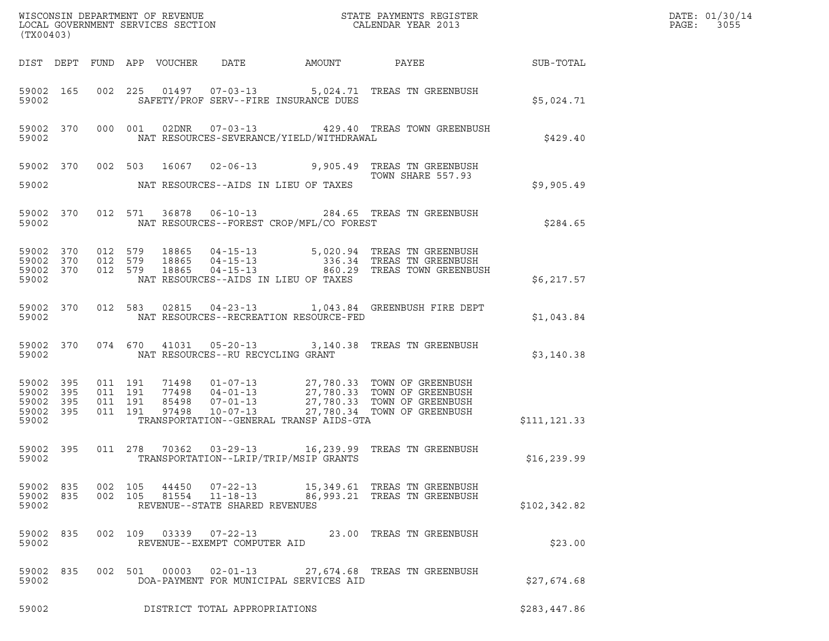| (TX00403)                                                 |                        |                   |                                          |                                   |                                          | DATE: 01/30/14<br>PAGE:<br>3055                                                                                                                                                                  |              |  |
|-----------------------------------------------------------|------------------------|-------------------|------------------------------------------|-----------------------------------|------------------------------------------|--------------------------------------------------------------------------------------------------------------------------------------------------------------------------------------------------|--------------|--|
|                                                           |                        |                   |                                          | DIST DEPT FUND APP VOUCHER DATE   | AMOUNT                                   | PAYEE SUB-TOTAL                                                                                                                                                                                  |              |  |
| 59002                                                     | 59002 165              |                   |                                          |                                   | SAFETY/PROF SERV--FIRE INSURANCE DUES    | 002 225 01497 07-03-13 5,024.71 TREAS TN GREENBUSH                                                                                                                                               | \$5,024.71   |  |
| 59002                                                     | 59002 370              |                   |                                          |                                   | NAT RESOURCES-SEVERANCE/YIELD/WITHDRAWAL | 000 001 02DNR 07-03-13 429.40 TREAS TOWN GREENBUSH                                                                                                                                               | \$429.40     |  |
|                                                           |                        |                   |                                          |                                   |                                          | 59002 370 002 503 16067 02-06-13 9,905.49 TREAS TN GREENBUSH<br>TOWN SHARE 557.93                                                                                                                |              |  |
| 59002                                                     |                        |                   |                                          |                                   | NAT RESOURCES--AIDS IN LIEU OF TAXES     |                                                                                                                                                                                                  | \$9,905.49   |  |
| 59002                                                     | 59002 370              |                   |                                          |                                   | NAT RESOURCES--FOREST CROP/MFL/CO FOREST | 012 571 36878 06-10-13 284.65 TREAS TN GREENBUSH                                                                                                                                                 | \$284.65     |  |
| 59002 370<br>59002                                        | 59002 370<br>59002 370 |                   | 012 579<br>012 579<br>012 579            |                                   | NAT RESOURCES--AIDS IN LIEU OF TAXES     | 18865   04-15-13   5,020.94   TREAS TN GREENBUSH<br>18865   04-15-13   336.34   TREAS TN GREENBUSH<br>18865   04-15-13   860.29   TREAS TOWN GREENBUSH                                           | \$6,217.57   |  |
| 59002                                                     | 59002 370              |                   |                                          |                                   | NAT RESOURCES--RECREATION RESOURCE-FED   | 012 583 02815 04-23-13 1,043.84 GREENBUSH FIRE DEPT                                                                                                                                              | \$1,043.84   |  |
| 59002                                                     | 59002 370              |                   | 074 670                                  | NAT RESOURCES--RU RECYCLING GRANT |                                          | 41031  05-20-13  3,140.38  TREAS TN GREENBUSH                                                                                                                                                    | \$3,140.38   |  |
| 59002 395<br>59002 395<br>59002 395<br>59002 395<br>59002 |                        |                   | 011 191<br>011 191<br>011 191<br>011 191 |                                   | TRANSPORTATION--GENERAL TRANSP AIDS-GTA  | 71498  01-07-13  27,780.33  TOWN OF GREENBUSH<br>77498  04-01-13  27,780.33  TOWN OF GREENBUSH<br>85498  07-01-13  27,780.33  TOWN OF GREENBUSH<br>97498  10-07-13  27,780.34  TOWN OF GREENBUSH | \$111,121.33 |  |
| 59002 395<br>59002                                        |                        |                   |                                          |                                   | TRANSPORTATION--LRIP/TRIP/MSIP GRANTS    | 011  278  70362  03-29-13  16,239.99  TREAS TN GREENBUSH                                                                                                                                         | \$16,239.99  |  |
| 59002                                                     | 59002 835              | 59002 835 002 105 | 002 105                                  | REVENUE--STATE SHARED REVENUES    |                                          | 81554 11-18-13 86,993.21 TREAS TN GREENBUSH                                                                                                                                                      | \$102,342.82 |  |
| 59002 835<br>59002                                        |                        |                   |                                          | REVENUE--EXEMPT COMPUTER AID      |                                          | 002 109 03339 07-22-13 23.00 TREAS TN GREENBUSH                                                                                                                                                  | \$23.00      |  |
| 59002 835<br>59002                                        |                        |                   | 002 501                                  |                                   | DOA-PAYMENT FOR MUNICIPAL SERVICES AID   | 00003  02-01-13  27,674.68  TREAS TN GREENBUSH                                                                                                                                                   | \$27,674.68  |  |
| 59002                                                     |                        |                   |                                          | DISTRICT TOTAL APPROPRIATIONS     |                                          |                                                                                                                                                                                                  | \$283,447.86 |  |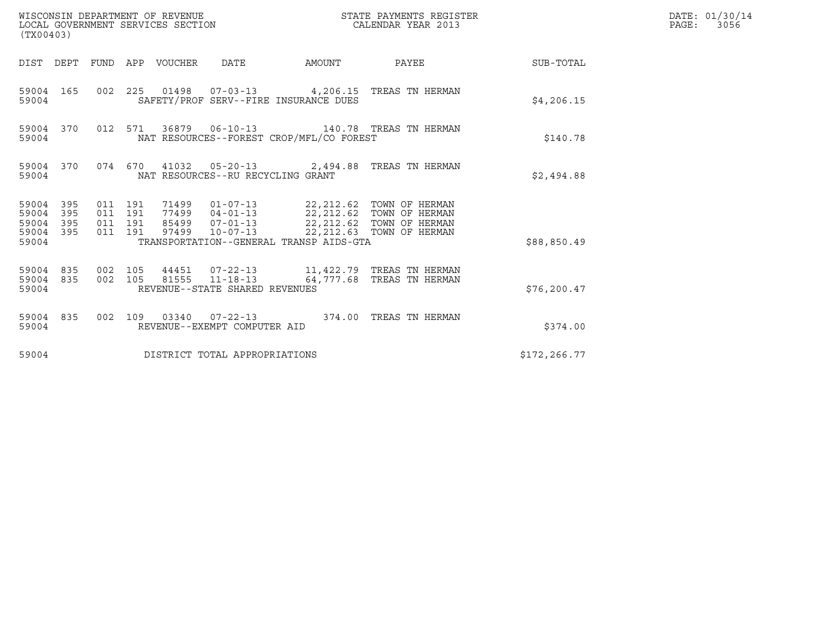| (TX00403)                                         |            |                                          | WISCONSIN DEPARTMENT OF REVENUE<br>LOCAL GOVERNMENT SERVICES SECTION |                                   |                                                                                                                                      | STATE PAYMENTS REGISTER<br>CALENDAR YEAR 2013   |              | DATE: 01/30/14<br>PAGE:<br>3056 |
|---------------------------------------------------|------------|------------------------------------------|----------------------------------------------------------------------|-----------------------------------|--------------------------------------------------------------------------------------------------------------------------------------|-------------------------------------------------|--------------|---------------------------------|
|                                                   |            |                                          | DIST DEPT FUND APP VOUCHER DATE                                      |                                   | AMOUNT                                                                                                                               | PAYEE                                           | SUB-TOTAL    |                                 |
| 59004 165<br>59004                                |            |                                          |                                                                      |                                   | SAFETY/PROF SERV--FIRE INSURANCE DUES                                                                                                | 002 225 01498 07-03-13 4,206.15 TREAS TN HERMAN | \$4,206.15   |                                 |
| 59004 370<br>59004                                |            |                                          |                                                                      |                                   | NAT RESOURCES--FOREST CROP/MFL/CO FOREST                                                                                             | 012 571 36879 06-10-13 140.78 TREAS TN HERMAN   | \$140.78     |                                 |
| 59004 370<br>59004                                |            |                                          |                                                                      | NAT RESOURCES--RU RECYCLING GRANT |                                                                                                                                      | 074 670 41032 05-20-13 2,494.88 TREAS TN HERMAN | \$2,494.88   |                                 |
| 59004 395<br>59004<br>59004<br>59004 395<br>59004 | 395<br>395 | 011 191<br>011 191<br>011 191<br>011 191 |                                                                      |                                   | 85499  07-01-13  22,212.62  TOWN OF HERMAN<br>97499  10-07-13  22, 212.63  TOWN OF HERMAN<br>TRANSPORTATION--GENERAL TRANSP AIDS-GTA |                                                 | \$88,850.49  |                                 |
| 59004 835<br>59004 835<br>59004                   |            | 002 105<br>002 105                       |                                                                      | REVENUE--STATE SHARED REVENUES    |                                                                                                                                      | 81555  11-18-13  64,777.68  TREAS TN HERMAN     | \$76, 200.47 |                                 |
| 59004 835<br>59004                                |            |                                          |                                                                      | REVENUE--EXEMPT COMPUTER AID      |                                                                                                                                      | 002 109 03340 07-22-13 374.00 TREAS TN HERMAN   | \$374.00     |                                 |
| 59004                                             |            |                                          |                                                                      | DISTRICT TOTAL APPROPRIATIONS     |                                                                                                                                      |                                                 | \$172,266.77 |                                 |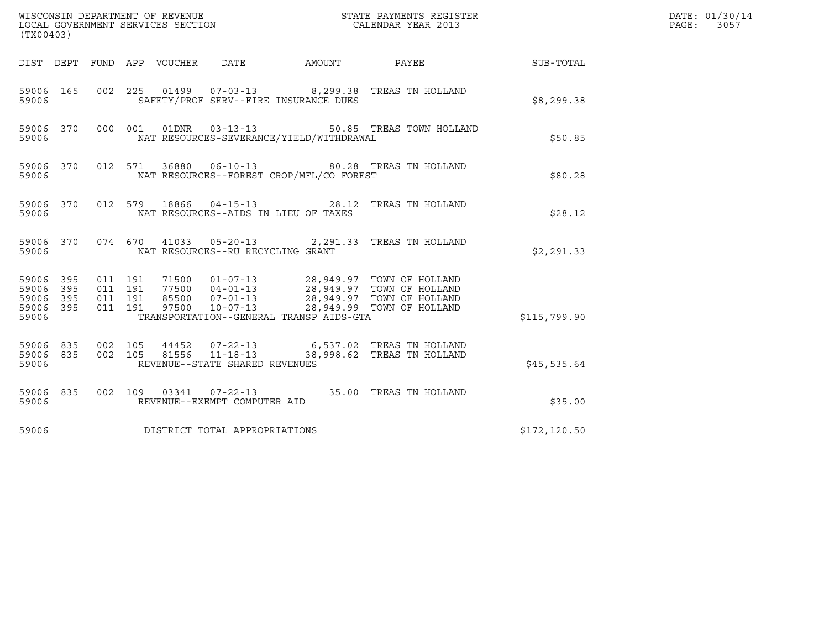| (TX00403)                                                       |                                          |                                                                                                                                                                                                                                     |               | DATE: 01/30/14<br>$\mathtt{PAGE:}$<br>3057 |
|-----------------------------------------------------------------|------------------------------------------|-------------------------------------------------------------------------------------------------------------------------------------------------------------------------------------------------------------------------------------|---------------|--------------------------------------------|
|                                                                 |                                          | DIST DEPT FUND APP VOUCHER DATE<br>AMOUNT PAYEE SUB-TOTAL                                                                                                                                                                           |               |                                            |
| 59006 165<br>59006                                              |                                          | 002  225  01499  07-03-13  8,299.38  TREAS TN HOLLAND<br>SAFETY/PROF SERV--FIRE INSURANCE DUES                                                                                                                                      | \$8,299.38    |                                            |
| 59006 370<br>59006                                              | 000 001                                  | 01DNR        03-13-13<br>50.85 TREAS TOWN HOLLAND<br>NAT RESOURCES-SEVERANCE/YIELD/WITHDRAWAL                                                                                                                                       | \$50.85       |                                            |
| 59006 370<br>59006                                              |                                          | 012 571 36880 06-10-13 80.28 TREAS TN HOLLAND<br>NAT RESOURCES--FOREST CROP/MFL/CO FOREST                                                                                                                                           | \$80.28       |                                            |
| 59006 370<br>59006                                              |                                          | 012 579 18866 04-15-13 28.12 TREAS TN HOLLAND<br>NAT RESOURCES--AIDS IN LIEU OF TAXES                                                                                                                                               | \$28.12       |                                            |
| 59006                                                           |                                          | 59006 370 074 670 41033 05-20-13 2,291.33 TREAS TN HOLLAND<br>NAT RESOURCES--RU RECYCLING GRANT                                                                                                                                     | \$2,291.33    |                                            |
| 59006 395<br>395<br>59006<br>395<br>59006<br>59006 395<br>59006 | 011 191<br>011 191<br>011 191<br>011 191 | 71500  01-07-13  28,949.97  TOWN OF HOLLAND<br>77500  04-01-13  28,949.97  TOWN OF HOLLAND<br>85500  07-01-13  28,949.97  TOWN OF HOLLAND<br>97500  10-07-13  28,949.99  TOWN OF HOLLAND<br>TRANSPORTATION--GENERAL TRANSP AIDS-GTA | \$115,799.90  |                                            |
| 59006 835<br>59006 835<br>59006                                 | 002 105<br>002 105                       | REVENUE--STATE SHARED REVENUES                                                                                                                                                                                                      | \$45,535.64   |                                            |
| 59006 835<br>59006                                              |                                          | 002 109 03341 07-22-13 35.00 TREAS TN HOLLAND<br>REVENUE--EXEMPT COMPUTER AID                                                                                                                                                       | \$35.00       |                                            |
| 59006                                                           |                                          | DISTRICT TOTAL APPROPRIATIONS                                                                                                                                                                                                       | \$172, 120.50 |                                            |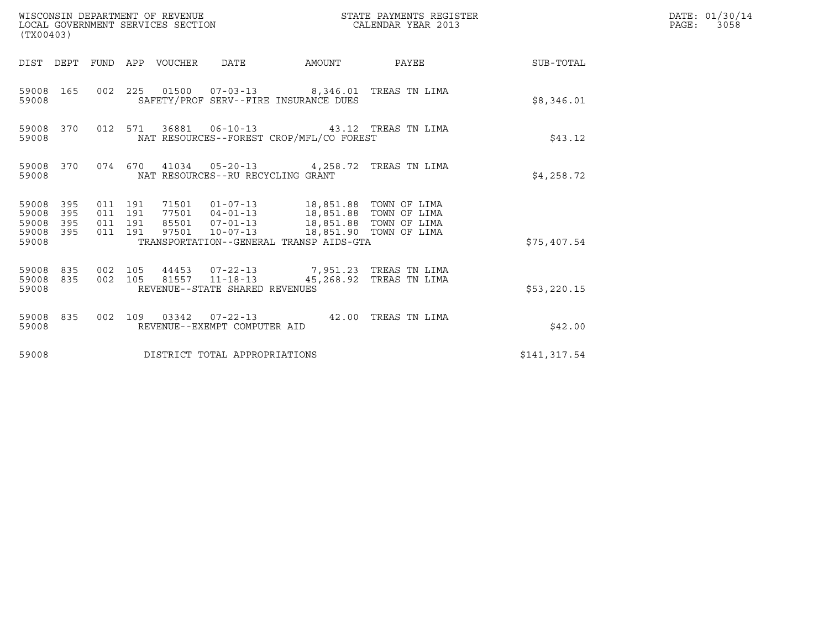| WISCONSIN DEPARTMENT OF REVENUE<br>(TX00403)                       | LOCAL GOVERNMENT SERVICES SECTION                                                                                                                                           | STATE PAYMENTS REGISTER<br>CALENDAR YEAR 2013 | DATE: 01/30/14<br>PAGE: 3058 |
|--------------------------------------------------------------------|-----------------------------------------------------------------------------------------------------------------------------------------------------------------------------|-----------------------------------------------|------------------------------|
|                                                                    | DIST DEPT FUND APP VOUCHER DATE                                                                                                                                             | AMOUNT PAYEE SUB-TOTAL                        |                              |
| 59008 165<br>59008                                                 | 002 225 01500 07-03-13 8,346.01 TREAS TN LIMA<br>SAFETY/PROF SERV--FIRE INSURANCE DUES                                                                                      | \$8,346.01                                    |                              |
| 59008 370<br>59008                                                 | 012 571 36881 06-10-13 43.12 TREAS TN LIMA<br>NAT RESOURCES--FOREST CROP/MFL/CO FOREST                                                                                      | \$43.12                                       |                              |
| 59008 370<br>59008                                                 | 074 670 41034 05-20-13 4,258.72 TREAS TN LIMA<br>NAT RESOURCES--RU RECYCLING GRANT                                                                                          | \$4,258.72                                    |                              |
| 395<br>59008<br>59008<br>395<br>59008<br>395<br>59008 395<br>59008 | 011 191<br>011 191<br>85501  07-01-13  18,851.88  TOWN OF LIMA<br>011 191<br>97501  10-07-13  18,851.90  TOWN OF LIMA<br>011 191<br>TRANSPORTATION--GENERAL TRANSP AIDS-GTA | \$75,407.54                                   |                              |
| 59008 835<br>59008 835<br>59008                                    | 44453 07-22-13 7,951.23 TREAS TN LIMA<br>002 105<br>81557 11-18-13<br>002 105<br>REVENUE--STATE SHARED REVENUES                                                             | 45,268.92 TREAS TN LIMA<br>\$53,220.15        |                              |
| 59008 835<br>59008                                                 | 002 109 03342 07-22-13 42.00 TREAS TN LIMA<br>REVENUE--EXEMPT COMPUTER AID                                                                                                  | \$42.00                                       |                              |
| 59008                                                              | DISTRICT TOTAL APPROPRIATIONS                                                                                                                                               | \$141,317.54                                  |                              |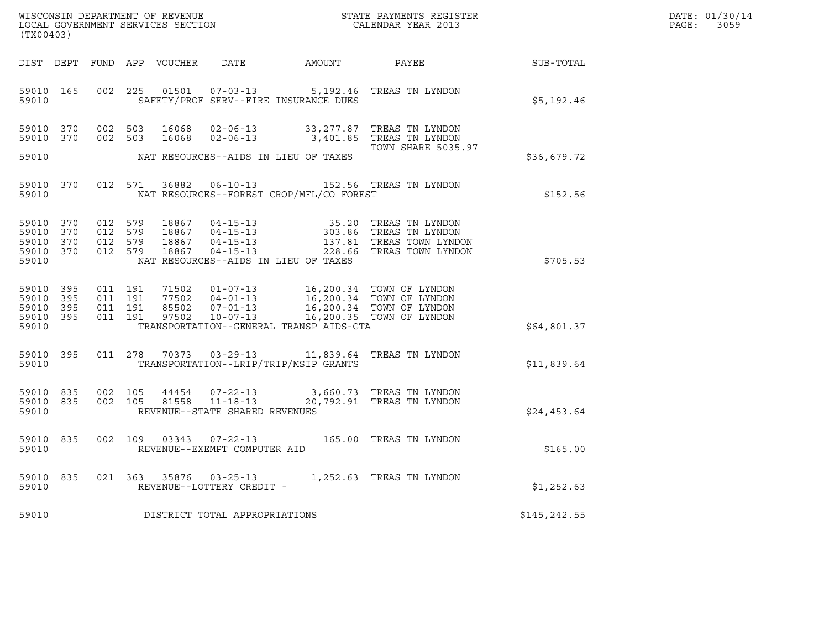| DATE: | 01/30/14 |
|-------|----------|
| PAGE: | 3059     |

| (TX00403)                                                 |  |  |                                          |                        |                                     |                                          |                                                                                                                                                                                                     | $\mathcal{R}$ | DATE: 01/30/14<br>PAGE: 3059 |
|-----------------------------------------------------------|--|--|------------------------------------------|------------------------|-------------------------------------|------------------------------------------|-----------------------------------------------------------------------------------------------------------------------------------------------------------------------------------------------------|---------------|------------------------------|
|                                                           |  |  |                                          |                        |                                     |                                          | DIST DEPT FUND APP VOUCHER DATE AMOUNT PAYEE TO SUB-TOTAL                                                                                                                                           |               |                              |
| 59010 165<br>59010                                        |  |  | 002 225                                  |                        |                                     | SAFETY/PROF SERV--FIRE INSURANCE DUES    | 01501  07-03-13  5,192.46 TREAS TN LYNDON                                                                                                                                                           | \$5,192.46    |                              |
| 59010 370<br>59010 370                                    |  |  | 002 503                                  | 002 503 16068<br>16068 |                                     |                                          | 02-06-13 33,277.87 TREAS TN LYNDON<br>02-06-13 3,401.85 TREAS TN LYNDON<br><b>TOWN SHARE 5035.97</b>                                                                                                |               |                              |
| 59010                                                     |  |  |                                          |                        |                                     | NAT RESOURCES--AIDS IN LIEU OF TAXES     |                                                                                                                                                                                                     | \$36,679.72   |                              |
| 59010 370<br>59010                                        |  |  | 012 571                                  | 36882                  |                                     | NAT RESOURCES--FOREST CROP/MFL/CO FOREST | 06-10-13 152.56 TREAS TN LYNDON                                                                                                                                                                     | \$152.56      |                              |
| 59010 370<br>59010 370<br>59010 370<br>59010 370<br>59010 |  |  |                                          |                        |                                     | NAT RESOURCES--AIDS IN LIEU OF TAXES     | 012 579 18867 04-15-13 35.20 TREAS TN LYNDON<br>012 579 18867 04-15-13 303.86 TREAS TN LYNDON<br>012 579 18867 04-15-13 137.81 TREAS TOWN LYNDON<br>012 579 18867 04-15-13 228.66 TREAS TOWN LYNDON | \$705.53      |                              |
| 59010 395<br>59010 395<br>59010 395<br>59010 395<br>59010 |  |  | 011 191<br>011 191<br>011 191<br>011 191 |                        |                                     | TRANSPORTATION--GENERAL TRANSP AIDS-GTA  | 71502  01-07-13  16,200.34 TOWN OF LYNDON<br>77502  04-01-13  16,200.34 TOWN OF LYNDON<br>85502  07-01-13  16,200.34 TOWN OF LYNDON<br>97502  10-07-13  16,200.35 TOWN OF LYNDON                    | \$64,801.37   |                              |
| 59010 395<br>59010                                        |  |  |                                          |                        |                                     | TRANSPORTATION--LRIP/TRIP/MSIP GRANTS    | 011  278  70373  03-29-13  11,839.64  TREAS TN LYNDON                                                                                                                                               | \$11,839.64   |                              |
| 59010 835<br>59010 835<br>59010                           |  |  | 002 105<br>002 105                       |                        | REVENUE--STATE SHARED REVENUES      |                                          | $\begin{array}{cccccc} 44454 & 07-22-13 & 3,660.73 & \text{TREAS TN LYNDON} \\ 81558 & 11-18-13 & 20,792.91 & \text{TREAS TN LYNDON} \end{array}$                                                   | \$24,453.64   |                              |
| 59010 835<br>59010                                        |  |  |                                          |                        | REVENUE--EXEMPT COMPUTER AID        |                                          | 002 109 03343 07-22-13 165.00 TREAS TN LYNDON                                                                                                                                                       | \$165.00      |                              |
| 59010 835<br>59010                                        |  |  |                                          |                        | REVENUE--LOTTERY CREDIT -           |                                          | 021  363  35876  03-25-13  1,252.63  TREAS TN LYNDON                                                                                                                                                | \$1,252.63    |                              |
|                                                           |  |  |                                          |                        | 59010 DISTRICT TOTAL APPROPRIATIONS |                                          |                                                                                                                                                                                                     | \$145, 242.55 |                              |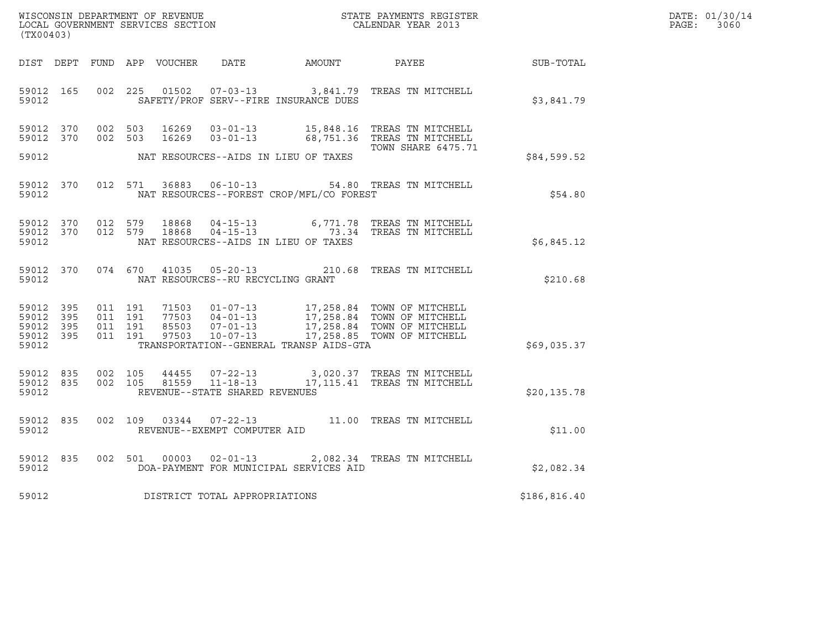| WISCONSIN DEPARTMENT OF REVENUE<br>LOCAL GOVERNMENT SERVICES SECTION | STATE PAYMENTS REGISTER<br>CALENDAR YEAR 2013 | DATE: 01/30/14<br>PAGE:<br>3060 |
|----------------------------------------------------------------------|-----------------------------------------------|---------------------------------|
|                                                                      |                                               |                                 |

| WISCONSIN DEPARTMENT OF REVENUE<br>LOCAL GOVERNMENT SERVICES SECTION $\rm CALENDAR$ YEAR 2013<br>(TX00403) |       |  |  |  |                                         |                                                |                                                                                                                                                                                                       |              | DATE: 01/30/14<br>PAGE: 3060 |
|------------------------------------------------------------------------------------------------------------|-------|--|--|--|-----------------------------------------|------------------------------------------------|-------------------------------------------------------------------------------------------------------------------------------------------------------------------------------------------------------|--------------|------------------------------|
|                                                                                                            |       |  |  |  |                                         |                                                | DIST DEPT FUND APP VOUCHER DATE AMOUNT PAYEE SUB-TOTAL                                                                                                                                                |              |                              |
|                                                                                                            |       |  |  |  |                                         | 59012 SAFETY/PROF SERV--FIRE INSURANCE DUES    | 59012 165 002 225 01502 07-03-13 3,841.79 TREAS TN MITCHELL                                                                                                                                           | \$3,841.79   |                              |
|                                                                                                            |       |  |  |  |                                         |                                                | 59012 370 002 503 16269 03-01-13 15,848.16 TREAS TN MITCHELL<br>59012 370 002 503 16269 03-01-13 68,751.36 TREAS TN MITCHELL<br>TOWN SHARE 6475.71                                                    |              |                              |
|                                                                                                            |       |  |  |  |                                         | 59012 NAT RESOURCES--AIDS IN LIEU OF TAXES     |                                                                                                                                                                                                       | \$84,599.52  |                              |
|                                                                                                            |       |  |  |  |                                         | 59012 NAT RESOURCES--FOREST CROP/MFL/CO FOREST | 59012 370 012 571 36883 06-10-13 54.80 TREAS TN MITCHELL                                                                                                                                              | \$54.80      |                              |
|                                                                                                            | 59012 |  |  |  |                                         | NAT RESOURCES--AIDS IN LIEU OF TAXES           | $\begin{array}{cccccc} 59012 & 370 & 012 & 579 & 18868 & 04-15-13 & 6,771.78 & \text{TREAS TN MITCHELL} \\ 59012 & 370 & 012 & 579 & 18868 & 04-15-13 & 73.34 & \text{TREAS TN MITCHELL} \end{array}$ | \$6,845.12   |                              |
|                                                                                                            |       |  |  |  | 59012 NAT RESOURCES--RU RECYCLING GRANT |                                                | 59012 370 074 670 41035 05-20-13 210.68 TREAS TN MITCHELL                                                                                                                                             | \$210.68     |                              |
|                                                                                                            |       |  |  |  |                                         | 59012 TRANSPORTATION--GENERAL TRANSP AIDS-GTA  |                                                                                                                                                                                                       | \$69,035.37  |                              |
|                                                                                                            | 59012 |  |  |  | REVENUE--STATE SHARED REVENUES          |                                                |                                                                                                                                                                                                       | \$20, 135.78 |                              |
|                                                                                                            |       |  |  |  | 59012 REVENUE--EXEMPT COMPUTER AID      |                                                | 59012 835 002 109 03344 07-22-13 11.00 TREAS TN MITCHELL                                                                                                                                              | \$11.00      |                              |
|                                                                                                            |       |  |  |  |                                         |                                                | 59012 835 002 501 00003 02-01-13 2,082.34 TREAS TN MITCHELL                                                                                                                                           | \$2,082.34   |                              |
| 59012                                                                                                      |       |  |  |  | DISTRICT TOTAL APPROPRIATIONS           |                                                |                                                                                                                                                                                                       | \$186,816.40 |                              |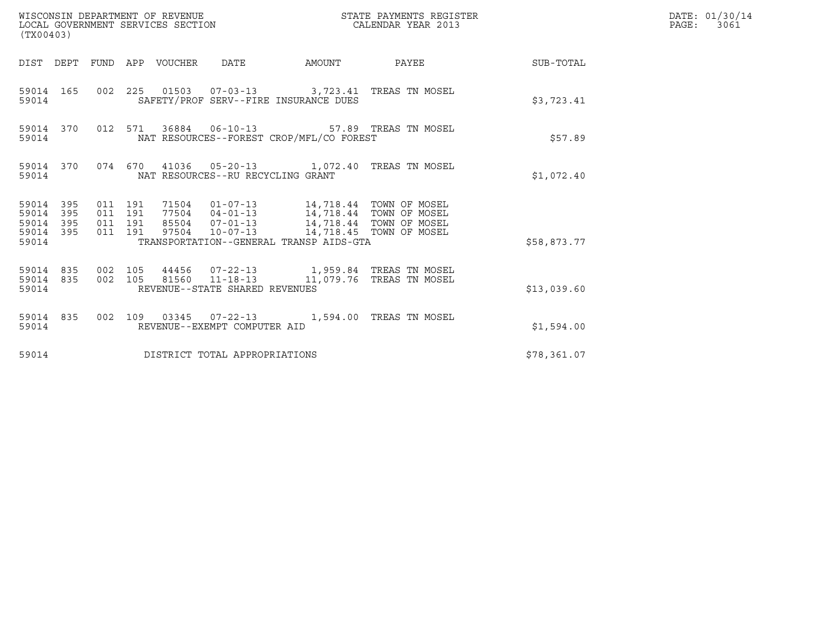| (TX00403)                                             |           |                               |         |                                 | WISCONSIN DEPARTMENT OF REVENUE<br>LOCAL GOVERNMENT SERVICES SECTION |                                                                                                             | STATE PAYMENTS REGISTER<br>CALENDAR YEAR 2013 |                        | DATE: 01/30/14<br>PAGE: 3061 |
|-------------------------------------------------------|-----------|-------------------------------|---------|---------------------------------|----------------------------------------------------------------------|-------------------------------------------------------------------------------------------------------------|-----------------------------------------------|------------------------|------------------------------|
|                                                       |           |                               |         | DIST DEPT FUND APP VOUCHER DATE |                                                                      |                                                                                                             |                                               | AMOUNT PAYEE SUB-TOTAL |                              |
| 59014                                                 | 59014 165 |                               |         |                                 |                                                                      | 002 225 01503 07-03-13 3,723.41 TREAS TN MOSEL<br>SAFETY/PROF SERV--FIRE INSURANCE DUES                     |                                               | \$3,723.41             |                              |
| 59014                                                 | 59014 370 |                               |         |                                 |                                                                      | 012 571 36884 06-10-13 57.89 TREAS TN MOSEL<br>NAT RESOURCES--FOREST CROP/MFL/CO FOREST                     |                                               | \$57.89                |                              |
| 59014                                                 |           |                               |         |                                 | NAT RESOURCES--RU RECYCLING GRANT                                    | 59014 370 074 670 41036 05-20-13 1,072.40 TREAS TN MOSEL                                                    |                                               | \$1,072.40             |                              |
| 59014 395<br>59014<br>59014 395<br>59014 395<br>59014 | 395       | 011 191<br>011 191<br>011 191 | 011 191 |                                 |                                                                      | 97504 10-07-13 14,718.45 TOWN OF MOSEL<br>TRANSPORTATION--GENERAL TRANSP AIDS-GTA                           |                                               | \$58,873.77            |                              |
| 59014                                                 | 59014 835 |                               |         |                                 | REVENUE--STATE SHARED REVENUES                                       | 59014 835 002 105 44456 07-22-13 1,959.84 TREAS TN MOSEL<br>002 105 81560 11-18-13 11,079.76 TREAS TN MOSEL |                                               | \$13,039.60            |                              |
| 59014                                                 |           |                               |         |                                 | REVENUE--EXEMPT COMPUTER AID                                         | 59014 835 002 109 03345 07-22-13 1,594.00 TREAS TN MOSEL                                                    |                                               | \$1,594.00             |                              |
| 59014                                                 |           |                               |         |                                 | DISTRICT TOTAL APPROPRIATIONS                                        |                                                                                                             |                                               | \$78,361.07            |                              |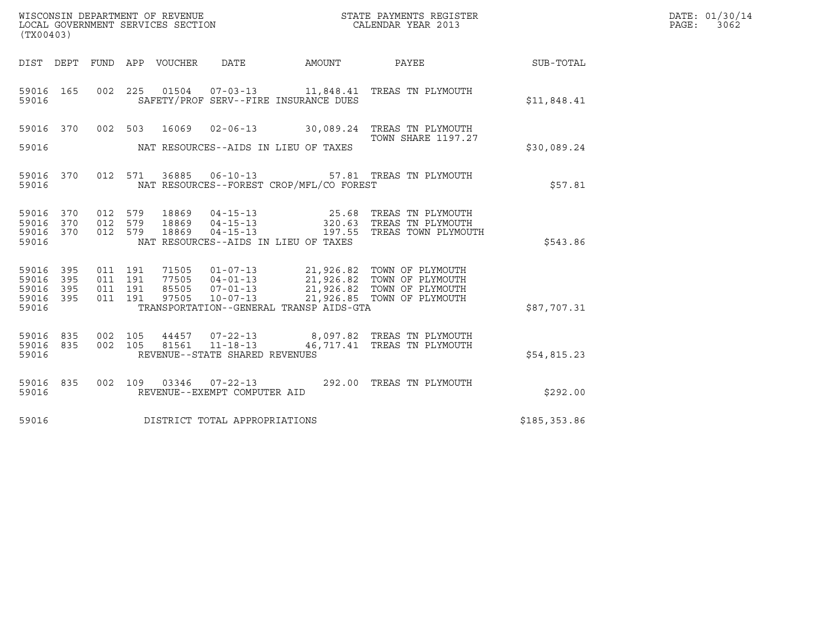| (TX00403)                                 |                          |                                          |         | LOCAL GOVERNMENT SERVICES SECTION | WISCONSIN DEPARTMENT OF REVENUE<br>LOCAL GOVERNMENT SERVICES SECTION |                                          | STATE PAYMENTS REGISTER<br>CALENDAR YEAR 2013                                                                                                            |              | DATE: 01/30/14<br>$\mathtt{PAGE:}$<br>3062 |
|-------------------------------------------|--------------------------|------------------------------------------|---------|-----------------------------------|----------------------------------------------------------------------|------------------------------------------|----------------------------------------------------------------------------------------------------------------------------------------------------------|--------------|--------------------------------------------|
|                                           |                          |                                          |         | DIST DEPT FUND APP VOUCHER DATE   |                                                                      |                                          | AMOUNT PAYEE SUB-TOTAL                                                                                                                                   |              |                                            |
| 59016 165<br>59016                        |                          | 002 225                                  |         |                                   |                                                                      | SAFETY/PROF SERV--FIRE INSURANCE DUES    |                                                                                                                                                          | \$11,848.41  |                                            |
| 59016 370                                 |                          |                                          | 002 503 |                                   |                                                                      |                                          | 16069  02-06-13  30,089.24  TREAS TN PLYMOUTH                                                                                                            |              |                                            |
| 59016                                     |                          |                                          |         |                                   |                                                                      | NAT RESOURCES--AIDS IN LIEU OF TAXES     | <b>TOWN SHARE 1197.27</b>                                                                                                                                | \$30,089.24  |                                            |
| 59016 370<br>59016                        |                          |                                          |         |                                   | 012 571 36885 06-10-13                                               | NAT RESOURCES--FOREST CROP/MFL/CO FOREST | 57.81 TREAS TN PLYMOUTH                                                                                                                                  | \$57.81      |                                            |
| 59016<br>59016<br>59016<br>59016          | 370<br>370<br>370        | 012 579<br>012 579<br>012 579            |         | 18869<br>18869<br>18869           |                                                                      | NAT RESOURCES--AIDS IN LIEU OF TAXES     | 04-15-13 25.68 TREAS TN PLYMOUTH<br>04-15-13 320.63 TREAS TN PLYMOUTH<br>04-15-13 197.55 TREAS TOWN PLYMOUT<br>197.55 TREAS TOWN PLYMOUTH                | \$543.86     |                                            |
| 59016<br>59016<br>59016<br>59016<br>59016 | 395<br>395<br>395<br>395 | 011 191<br>011 191<br>011 191<br>011 191 |         | 71505<br>77505<br>85505<br>97505  |                                                                      | TRANSPORTATION--GENERAL TRANSP AIDS-GTA  | 01-07-13 21,926.82 TOWN OF PLYMOUTH<br>04-01-13 21,926.82 TOWN OF PLYMOUTH<br>07-01-13 21,926.82 TOWN OF PLYMOUTH<br>10-07-13 21,926.85 TOWN OF PLYMOUTH | \$87,707.31  |                                            |
| 59016<br>59016<br>59016                   | 835<br>835               | 002 105<br>002 105                       |         |                                   | REVENUE--STATE SHARED REVENUES                                       |                                          | 44457  07-22-13  8,097.82  TREAS TN PLYMOUTH<br>81561  11-18-13  46, 717.41  TREAS TN PLYMOUTH                                                           | \$54,815.23  |                                            |
| 59016<br>59016                            | 835                      | 002 109                                  |         |                                   | 03346  07-22-13<br>REVENUE--EXEMPT COMPUTER AID                      |                                          | 292.00 TREAS TN PLYMOUTH                                                                                                                                 | \$292.00     |                                            |
| 59016                                     |                          |                                          |         |                                   | DISTRICT TOTAL APPROPRIATIONS                                        |                                          |                                                                                                                                                          | \$185,353.86 |                                            |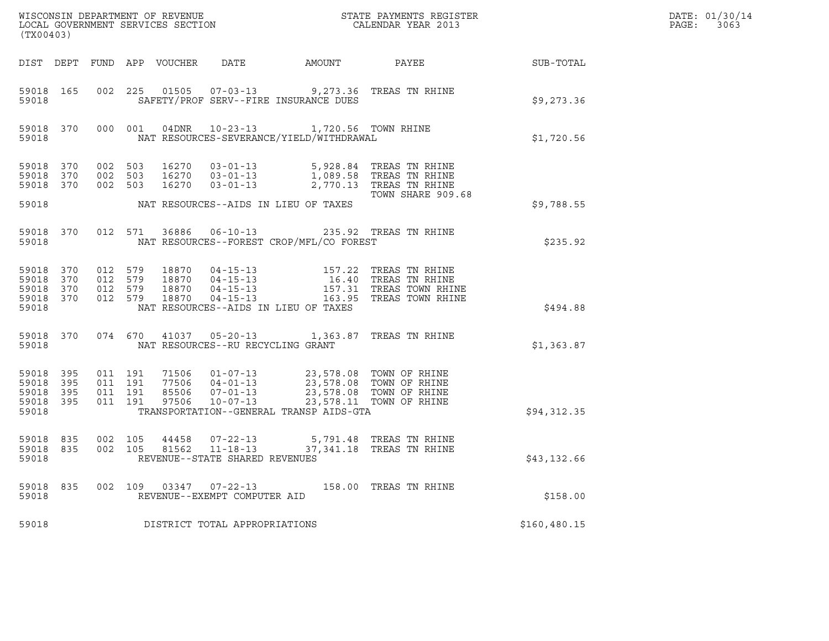| (TX00403)                                             |           |                                          |         |                            |                                                  |                                                                                                                                  |                                                                                                                                                                         |                  | DATE: 01/30/14<br>$\mathtt{PAGE:}$<br>3063 |
|-------------------------------------------------------|-----------|------------------------------------------|---------|----------------------------|--------------------------------------------------|----------------------------------------------------------------------------------------------------------------------------------|-------------------------------------------------------------------------------------------------------------------------------------------------------------------------|------------------|--------------------------------------------|
|                                                       |           |                                          |         | DIST DEPT FUND APP VOUCHER | DATE                                             | AMOUNT                                                                                                                           | PAYEE                                                                                                                                                                   | <b>SUB-TOTAL</b> |                                            |
| 59018                                                 | 59018 165 |                                          |         |                            |                                                  | 002 225 01505 07-03-13 9,273.36 TREAS TN RHINE<br>SAFETY/PROF SERV--FIRE INSURANCE DUES                                          |                                                                                                                                                                         | \$9,273.36       |                                            |
| 59018                                                 | 59018 370 |                                          |         |                            |                                                  | 000 001 04DNR 10-23-13 1,720.56 TOWN RHINE<br>NAT RESOURCES-SEVERANCE/YIELD/WITHDRAWAL                                           |                                                                                                                                                                         | \$1,720.56       |                                            |
| 59018 370<br>59018 370                                |           | 59018 370 002 503<br>002 503<br>002 503  |         |                            |                                                  | 16270  03-01-13  5,928.84 TREAS TN RHINE<br>16270  03-01-13  1,089.58 TREAS TN RHINE<br>16270  03-01-13  2,770.13 TREAS TN RHINE | TOWN SHARE 909.68                                                                                                                                                       |                  |                                            |
| 59018                                                 |           |                                          |         |                            |                                                  | NAT RESOURCES--AIDS IN LIEU OF TAXES                                                                                             |                                                                                                                                                                         | \$9,788.55       |                                            |
| 59018 370<br>59018                                    |           |                                          | 012 571 |                            |                                                  | 36886  06-10-13  235.92  TREAS TN RHINE<br>NAT RESOURCES--FOREST CROP/MFL/CO FOREST                                              |                                                                                                                                                                         | \$235.92         |                                            |
| 59018 370<br>59018 370<br>59018<br>59018 370<br>59018 | 370       | 012 579<br>012 579                       | 012 579 | 012 579 18870              |                                                  | NAT RESOURCES--AIDS IN LIEU OF TAXES                                                                                             | 18870  04-15-13  157.22 TREAS TN RHINE<br>18870  04-15-13  16.40 TREAS TN RHINE<br>18870  04-15-13  157.31 TREAS TOWN RHINE<br>18870  04-15-13  163.95 TREAS TOWN RHINE | \$494.88         |                                            |
| 59018                                                 |           |                                          |         |                            | NAT RESOURCES--RU RECYCLING GRANT                | 59018 370 074 670 41037 05-20-13 1,363.87 TREAS TN RHINE                                                                         |                                                                                                                                                                         | \$1,363.87       |                                            |
| 59018 395<br>59018<br>59018 395<br>59018 395<br>59018 | 395       | 011 191<br>011 191<br>011 191<br>011 191 |         |                            |                                                  | TRANSPORTATION--GENERAL TRANSP AIDS-GTA                                                                                          |                                                                                                                                                                         | \$94,312.35      |                                            |
| 59018 835<br>59018 835<br>59018                       |           | 002 105<br>002 105                       |         | 81562                      | $11 - 18 - 13$<br>REVENUE--STATE SHARED REVENUES | 44458  07-22-13  5,791.48  TREAS TN RHINE                                                                                        | 37,341.18 TREAS TN RHINE                                                                                                                                                | \$43,132.66      |                                            |
| 59018<br>59018                                        | 835       | 002 109                                  |         |                            | 03347 07-22-13<br>REVENUE--EXEMPT COMPUTER AID   |                                                                                                                                  | 158.00 TREAS TN RHINE                                                                                                                                                   | \$158.00         |                                            |
| 59018                                                 |           |                                          |         |                            | DISTRICT TOTAL APPROPRIATIONS                    |                                                                                                                                  |                                                                                                                                                                         | \$160, 480.15    |                                            |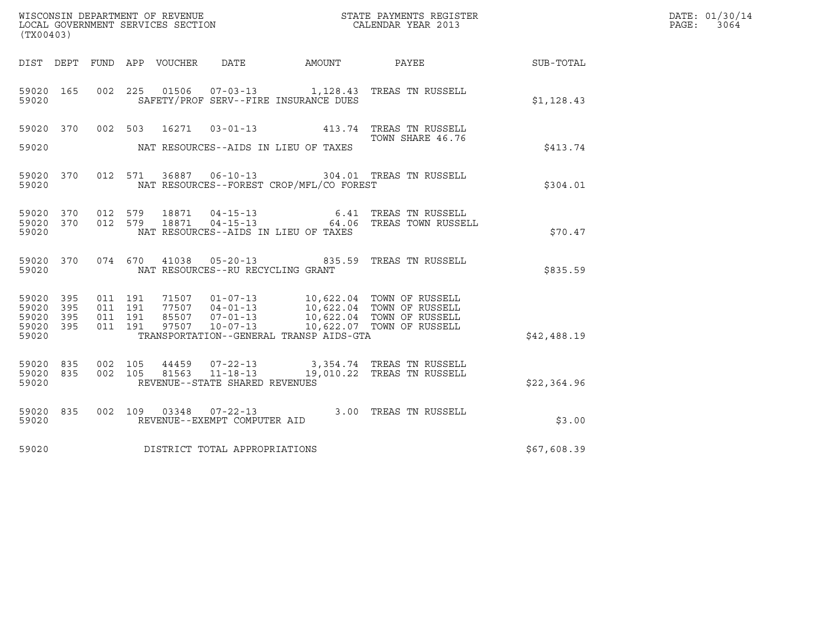| (TX00403)                                     |                   |                    |                    |                        |                                                  |                                          | ${\tt WISCOONSIM\ DEPARTMENT\ OF\ REVENUE}\ {\tt LOCALENDAR\ VERA}$ LOCAL GOVERNMENT SERVICES SECTION ${\tt LOCALENDAR\ VERAR\ 2013}$                                                    |             | DATE: 01/30/14<br>PAGE:<br>3064 |
|-----------------------------------------------|-------------------|--------------------|--------------------|------------------------|--------------------------------------------------|------------------------------------------|------------------------------------------------------------------------------------------------------------------------------------------------------------------------------------------|-------------|---------------------------------|
| DIST DEPT                                     |                   |                    |                    | FUND APP VOUCHER  DATE |                                                  | AMOUNT PAYEE                             |                                                                                                                                                                                          | SUB-TOTAL   |                                 |
| 59020 165<br>59020                            |                   |                    |                    |                        |                                                  | SAFETY/PROF SERV--FIRE INSURANCE DUES    | 002 225 01506 07-03-13 1,128.43 TREAS TN RUSSELL                                                                                                                                         | \$1,128.43  |                                 |
| 59020 370<br>59020                            |                   |                    | 002 503            | 16271                  |                                                  | NAT RESOURCES--AIDS IN LIEU OF TAXES     | 03-01-13 413.74 TREAS TN RUSSELL<br>TOWN SHARE 46.76                                                                                                                                     | \$413.74    |                                 |
| 59020                                         | 59020 370         |                    |                    |                        |                                                  | NAT RESOURCES--FOREST CROP/MFL/CO FOREST | 012 571 36887 06-10-13 304.01 TREAS TN RUSSELL                                                                                                                                           | \$304.01    |                                 |
| 59020 370<br>59020                            | 59020 370         | 012 579            | 012 579            | 18871<br>18871         | $04 - 15 - 13$                                   | NAT RESOURCES--AIDS IN LIEU OF TAXES     | 6.41 TREAS TN RUSSELL<br>04-15-13    64.06    TREAS TOWN RUSSELL                                                                                                                         | \$70.47     |                                 |
| 59020 370<br>59020                            |                   |                    |                    |                        | NAT RESOURCES--RU RECYCLING GRANT                |                                          | 074 670 41038 05-20-13 835.59 TREAS TN RUSSELL                                                                                                                                           | \$835.59    |                                 |
| 59020 395<br>59020<br>59020<br>59020<br>59020 | 395<br>395<br>395 | 011 191<br>011 191 | 011 191<br>011 191 |                        |                                                  | TRANSPORTATION--GENERAL TRANSP AIDS-GTA  | 71507  01-07-13  10,622.04  TOWN OF RUSSELL<br>77507  04-01-13  10,622.04  TOWN OF RUSSELL<br>85507  07-01-13  10,622.04  TOWN OF RUSSELL<br>97507  10-07-13  10,622.07  TOWN OF RUSSELL | \$42,488.19 |                                 |
| 59020 835<br>59020<br>59020                   | 835               |                    | 002 105<br>002 105 | 44459<br>81563         | $11 - 18 - 13$<br>REVENUE--STATE SHARED REVENUES |                                          | 07-22-13 3,354.74 TREAS TN RUSSELL<br>19,010.22 TREAS TN RUSSELL                                                                                                                         | \$22,364.96 |                                 |
| 59020 835<br>59020                            |                   |                    |                    |                        | REVENUE--EXEMPT COMPUTER AID                     |                                          | 002 109 03348 07-22-13 3.00 TREAS TN RUSSELL                                                                                                                                             | \$3.00      |                                 |
| 59020                                         |                   |                    |                    |                        | DISTRICT TOTAL APPROPRIATIONS                    |                                          |                                                                                                                                                                                          | \$67,608.39 |                                 |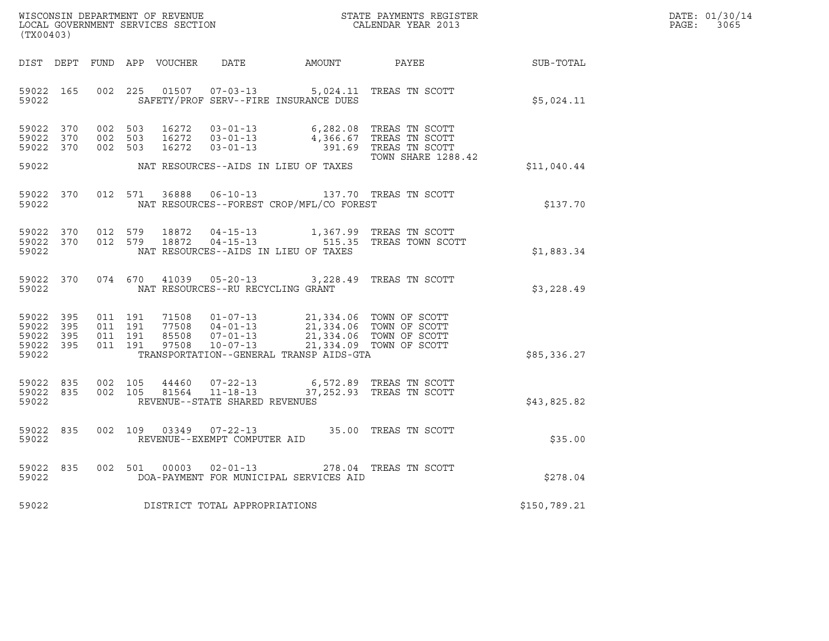| DATE: | 01/30/14 |
|-------|----------|
| PAGE: | 3065     |

| (TX00403)                                         |            |                    |                               |                            |                                                              |                                                                                      |                                                                                                          |              | DATE: 01/30/14<br>PAGE:<br>3065 |
|---------------------------------------------------|------------|--------------------|-------------------------------|----------------------------|--------------------------------------------------------------|--------------------------------------------------------------------------------------|----------------------------------------------------------------------------------------------------------|--------------|---------------------------------|
|                                                   |            |                    |                               | DIST DEPT FUND APP VOUCHER | DATE                                                         |                                                                                      | AMOUNT PAYEE                                                                                             | SUB-TOTAL    |                                 |
| 59022 165<br>59022                                |            |                    | 002 225                       | 01507                      |                                                              | 07-03-13 5,024.11 TREAS TN SCOTT<br>SAFETY/PROF SERV--FIRE INSURANCE DUES            |                                                                                                          | \$5,024.11   |                                 |
| 59022 370<br>59022<br>59022 370                   | 370        |                    | 002 503<br>002 503<br>002 503 | 16272<br>16272<br>16272    | 03-01-13<br>$03 - 01 - 13$<br>$03 - 01 - 13$                 |                                                                                      | 6,282.08 TREAS TN SCOTT<br>4,366.67 TREAS TN SCOTT<br>391.69 TREAS TN SCOTT<br><b>TOWN SHARE 1288.42</b> |              |                                 |
| 59022                                             |            |                    |                               |                            |                                                              | NAT RESOURCES--AIDS IN LIEU OF TAXES                                                 |                                                                                                          | \$11,040.44  |                                 |
| 59022 370<br>59022                                |            |                    | 012 571                       | 36888                      |                                                              | 06-10-13 137.70 TREAS TN SCOTT<br>NAT RESOURCES--FOREST CROP/MFL/CO FOREST           |                                                                                                          | \$137.70     |                                 |
| 59022 370<br>59022 370<br>59022                   |            |                    | 012 579<br>012 579            | 18872<br>18872             |                                                              | NAT RESOURCES--AIDS IN LIEU OF TAXES                                                 | 04-15-13 1,367.99 TREAS TN SCOTT<br>04-15-13 515.35 TREAS TOWN SCOTT                                     | \$1,883.34   |                                 |
| 59022 370<br>59022                                |            |                    |                               |                            | NAT RESOURCES--RU RECYCLING GRANT                            | 074 670 41039 05-20-13 3,228.49 TREAS TN SCOTT                                       |                                                                                                          | \$3,228.49   |                                 |
| 59022<br>59022<br>59022 395<br>59022 395<br>59022 | 395<br>395 | 011 191<br>011 191 | 011 191<br>011 191            |                            |                                                              | 71508  01-07-13  21,334.06  TOWN OF SCOTT<br>TRANSPORTATION--GENERAL TRANSP AIDS-GTA |                                                                                                          | \$85,336.27  |                                 |
| 59022 835<br>59022 835<br>59022                   |            |                    | 002 105<br>002 105            | 44460<br>81564             | 07-22-13<br>$11 - 18 - 13$<br>REVENUE--STATE SHARED REVENUES |                                                                                      | 6,572.89 TREAS TN SCOTT<br>37,252.93 TREAS TN SCOTT                                                      | \$43,825.82  |                                 |
| 59022<br>59022                                    | 835        |                    | 002 109                       | 03349                      | REVENUE--EXEMPT COMPUTER AID                                 | 07-22-13 35.00 TREAS TN SCOTT                                                        |                                                                                                          | \$35.00      |                                 |
| 59022<br>59022                                    | 835        |                    |                               | 002 501 00003              | $02 - 01 - 13$                                               | DOA-PAYMENT FOR MUNICIPAL SERVICES AID                                               | 278.04 TREAS TN SCOTT                                                                                    | \$278.04     |                                 |
| 59022                                             |            |                    |                               |                            | DISTRICT TOTAL APPROPRIATIONS                                |                                                                                      |                                                                                                          | \$150,789.21 |                                 |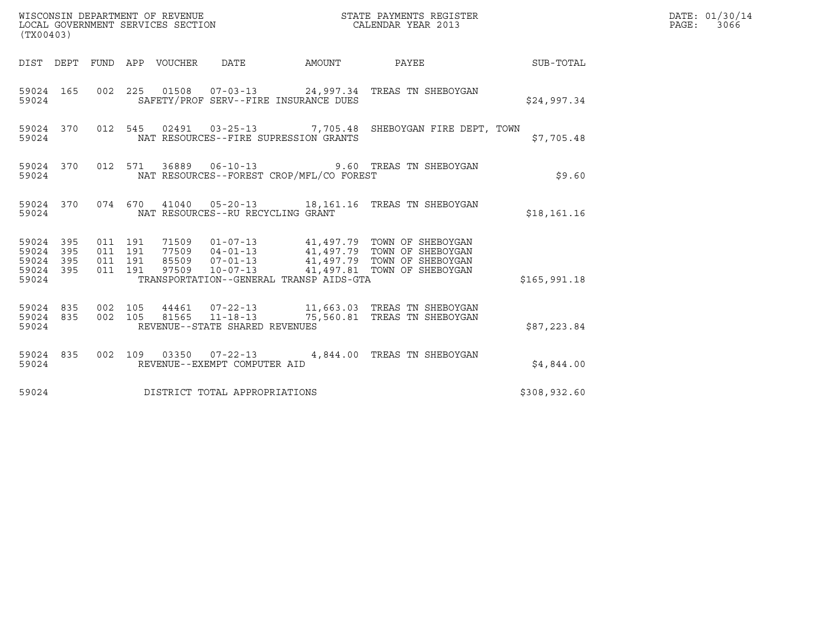| (TX00403)                                         |            |                    |                    |                                 |                                                  |        |                                                                                                                                                                                            |              | DATE: 01/30/14<br>PAGE: 3066 |
|---------------------------------------------------|------------|--------------------|--------------------|---------------------------------|--------------------------------------------------|--------|--------------------------------------------------------------------------------------------------------------------------------------------------------------------------------------------|--------------|------------------------------|
|                                                   |            |                    |                    | DIST DEPT FUND APP VOUCHER DATE |                                                  | AMOUNT | PAYEE SUB-TOTAL                                                                                                                                                                            |              |                              |
| 59024                                             | 59024 165  |                    |                    |                                 | SAFETY/PROF SERV--FIRE INSURANCE DUES            |        | 002 225 01508 07-03-13 24,997.34 TREAS TN SHEBOYGAN                                                                                                                                        | \$24,997.34  |                              |
| 59024                                             | 59024 370  |                    |                    |                                 | NAT RESOURCES--FIRE SUPRESSION GRANTS            |        | 012 545 02491 03-25-13 7,705.48 SHEBOYGAN FIRE DEPT, TOWN                                                                                                                                  | \$7,705.48   |                              |
| 59024                                             | 59024 370  |                    |                    |                                 | NAT RESOURCES--FOREST CROP/MFL/CO FOREST         |        | 012 571 36889 06-10-13 9.60 TREAS TN SHEBOYGAN                                                                                                                                             | \$9.60       |                              |
| 59024                                             |            |                    |                    |                                 | NAT RESOURCES--RU RECYCLING GRANT                |        | 59024 370 074 670 41040 05-20-13 18,161.16 TREAS TN SHEBOYGAN                                                                                                                              | \$18, 161.16 |                              |
| 59024 395<br>59024<br>59024<br>59024 395<br>59024 | 395<br>395 | 011 191<br>011 191 | 011 191<br>011 191 |                                 | TRANSPORTATION--GENERAL TRANSP AIDS-GTA          |        | 71509  01-07-13  41,497.79  TOWN OF SHEBOYGAN<br>77509 04-01-13<br>85509 07-01-13 41,497.79 TOWN OF SHEBOYGAN<br>97509 10-07-13 41,497.79 TOWN OF SHEBOYGAN<br>41,497.81 TOWN OF SHEBOYGAN | \$165,991.18 |                              |
| 59024 835<br>59024 835<br>59024                   |            | 002 105            | 002 105            |                                 | 81565 11-18-13<br>REVENUE--STATE SHARED REVENUES |        | 75,560.81 TREAS TN SHEBOYGAN                                                                                                                                                               | \$87,223.84  |                              |
| 59024                                             | 59024 835  |                    |                    |                                 | REVENUE--EXEMPT COMPUTER AID                     |        | 002 109 03350 07-22-13 4,844.00 TREAS TN SHEBOYGAN                                                                                                                                         | \$4,844.00   |                              |
| 59024                                             |            |                    |                    |                                 | DISTRICT TOTAL APPROPRIATIONS                    |        |                                                                                                                                                                                            | \$308,932.60 |                              |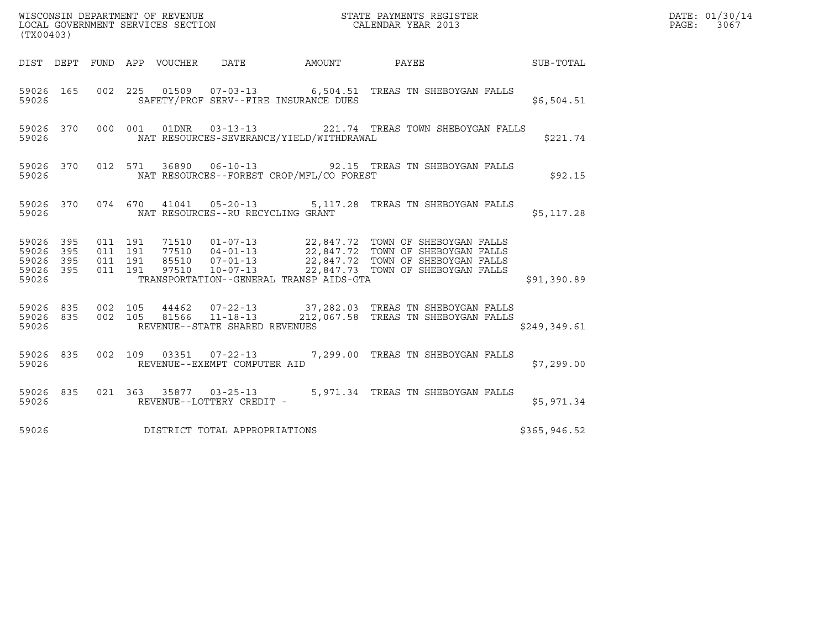| (TX00403)                                         |            |                                          |                                 |                                         |                                          |                                                                                                                                             |              | DATE: 01/30/14<br>PAGE:<br>3067 |
|---------------------------------------------------|------------|------------------------------------------|---------------------------------|-----------------------------------------|------------------------------------------|---------------------------------------------------------------------------------------------------------------------------------------------|--------------|---------------------------------|
|                                                   |            |                                          | DIST DEPT FUND APP VOUCHER DATE |                                         |                                          | AMOUNT PAYEE SUB-TOTAL                                                                                                                      |              |                                 |
| 59026 165<br>59026                                |            |                                          |                                 |                                         | SAFETY/PROF SERV--FIRE INSURANCE DUES    | 002 225 01509 07-03-13 6,504.51 TREAS TN SHEBOYGAN FALLS                                                                                    | \$6,504.51   |                                 |
| 59026 370<br>59026                                |            |                                          |                                 |                                         | NAT RESOURCES-SEVERANCE/YIELD/WITHDRAWAL | 000 001 01DNR 03-13-13 221.74 TREAS TOWN SHEBOYGAN FALLS                                                                                    | \$221.74     |                                 |
| 59026                                             |            |                                          |                                 |                                         | NAT RESOURCES--FOREST CROP/MFL/CO FOREST | 59026 370 012 571 36890 06-10-13 92.15 TREAS TN SHEBOYGAN FALLS                                                                             | \$92.15      |                                 |
|                                                   |            |                                          |                                 | 59026 MAT RESOURCES--RU RECYCLING GRANT |                                          | 59026 370 074 670 41041 05-20-13 5,117.28 TREAS TN SHEBOYGAN FALLS                                                                          | \$5,117.28   |                                 |
| 59026 395<br>59026<br>59026<br>59026 395<br>59026 | 395<br>395 | 011 191<br>011 191<br>011 191<br>011 191 |                                 |                                         | TRANSPORTATION--GENERAL TRANSP AIDS-GTA  |                                                                                                                                             | \$91,390.89  |                                 |
| 59026                                             |            |                                          |                                 | REVENUE--STATE SHARED REVENUES          |                                          | 59026 835 002 105 44462 07-22-13 37,282.03 TREAS TN SHEBOYGAN FALLS<br>59026 835 002 105 81566 11-18-13 212,067.58 TREAS TN SHEBOYGAN FALLS | \$249,349.61 |                                 |
| 59026 835<br>59026                                |            |                                          |                                 | REVENUE--EXEMPT COMPUTER AID            |                                          | 002 109 03351 07-22-13 7,299.00 TREAS TN SHEBOYGAN FALLS                                                                                    | \$7,299.00   |                                 |
| 59026 835<br>59026                                |            |                                          |                                 | REVENUE--LOTTERY CREDIT -               |                                          | 021 363 35877 03-25-13 5,971.34 TREAS TN SHEBOYGAN FALLS                                                                                    | \$5,971.34   |                                 |
| 59026                                             |            |                                          |                                 | DISTRICT TOTAL APPROPRIATIONS           |                                          |                                                                                                                                             | \$365,946.52 |                                 |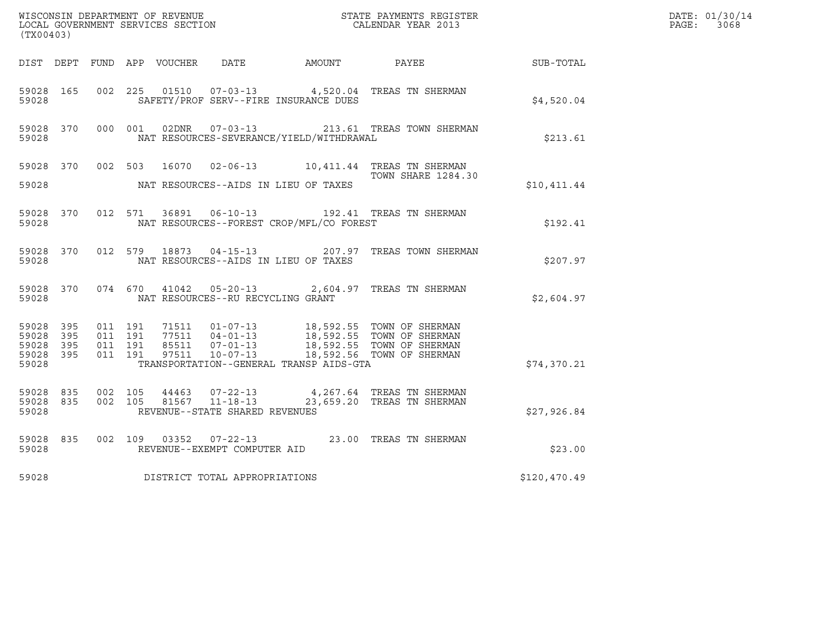| (TX00403)                                                 |                                          |               |                                                  |                                          | WISCONSIN DEPARTMENT OF REVENUE<br>LOCAL GOVERNMENT SERVICES SECTION<br>CALENDAR YEAR 2013                                                                             |              | DATE: 01/30/14<br>PAGE: 3068 |
|-----------------------------------------------------------|------------------------------------------|---------------|--------------------------------------------------|------------------------------------------|------------------------------------------------------------------------------------------------------------------------------------------------------------------------|--------------|------------------------------|
|                                                           |                                          |               |                                                  |                                          | DIST DEPT FUND APP VOUCHER DATE AMOUNT PAYEE SUB-TOTAL                                                                                                                 |              |                              |
| 59028 165<br>59028                                        |                                          | 002 225 01510 |                                                  | SAFETY/PROF SERV--FIRE INSURANCE DUES    | 07-03-13 4,520.04 TREAS TN SHERMAN                                                                                                                                     | \$4,520.04   |                              |
| 59028 370<br>59028                                        |                                          |               |                                                  | NAT RESOURCES-SEVERANCE/YIELD/WITHDRAWAL | 000 001 02DNR  07-03-13  213.61 TREAS TOWN SHERMAN                                                                                                                     | \$213.61     |                              |
| 59028                                                     |                                          |               |                                                  | NAT RESOURCES--AIDS IN LIEU OF TAXES     | 59028 370 002 503 16070 02-06-13 10,411.44 TREAS TN SHERMAN<br><b>TOWN SHARE 1284.30</b>                                                                               | \$10,411.44  |                              |
| 59028 370<br>59028                                        |                                          |               |                                                  | NAT RESOURCES--FOREST CROP/MFL/CO FOREST | 012 571 36891 06-10-13 192.41 TREAS TN SHERMAN                                                                                                                         | \$192.41     |                              |
| 59028 370<br>59028                                        |                                          | 012 579 18873 |                                                  | NAT RESOURCES--AIDS IN LIEU OF TAXES     | 04-15-13 207.97 TREAS TOWN SHERMAN                                                                                                                                     | \$207.97     |                              |
| 59028 370<br>59028                                        |                                          |               | NAT RESOURCES--RU RECYCLING GRANT                |                                          | 074 670 41042 05-20-13 2,604.97 TREAS TN SHERMAN                                                                                                                       | \$2,604.97   |                              |
| 59028 395<br>59028 395<br>59028 395<br>59028 395<br>59028 | 011 191<br>011 191<br>011 191<br>011 191 |               | 97511 10-07-13                                   | TRANSPORTATION--GENERAL TRANSP AIDS-GTA  | 71511  01-07-13  18,592.55  TOWN OF SHERMAN<br>77511  04-01-13  18,592.55  TOWN OF SHERMAN<br>85511  07-01-13  18,592.55  TOWN OF SHERMAN<br>18,592.56 TOWN OF SHERMAN | \$74,370.21  |                              |
| 59028 835<br>59028 835<br>59028                           | 002 105<br>002 105                       | 44463         | 81567 11-18-13<br>REVENUE--STATE SHARED REVENUES |                                          | 07-22-13 4, 267.64 TREAS TN SHERMAN<br>23,659.20 TREAS TN SHERMAN                                                                                                      | \$27,926.84  |                              |
| 59028 835<br>59028                                        |                                          |               | REVENUE--EXEMPT COMPUTER AID                     |                                          | 002 109 03352 07-22-13 23.00 TREAS TN SHERMAN                                                                                                                          | \$23.00      |                              |
| 59028                                                     |                                          |               | DISTRICT TOTAL APPROPRIATIONS                    |                                          |                                                                                                                                                                        | \$120,470.49 |                              |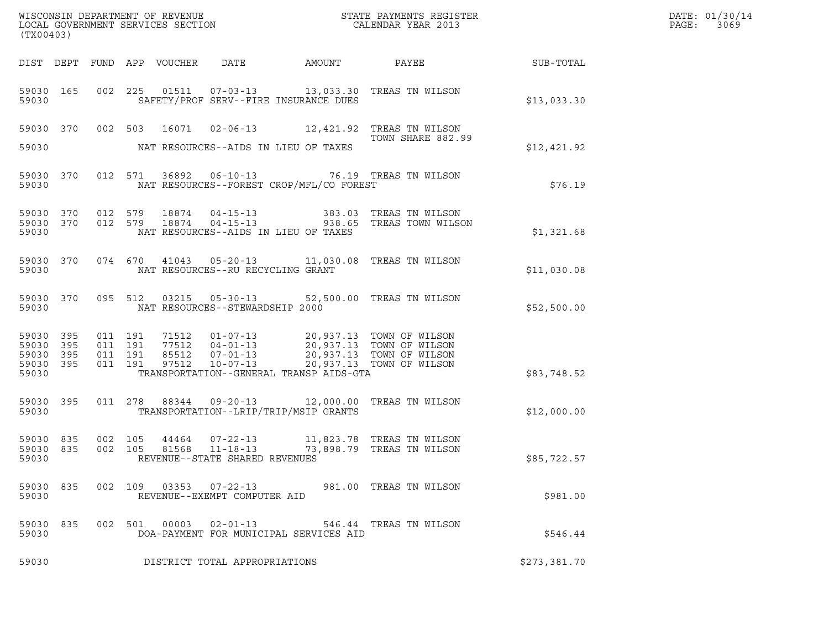| WISCONSIN DEPARTMENT OF REVENUE<br>LOCAL GOVERNMENT SERVICES SECTION<br>CALENDAR YEAR 2013<br>(TX00403) |  |                               |         |  |                                                  |                                                                                                                      |                                                        | DATE: 01/30/14<br>PAGE:<br>3069 |
|---------------------------------------------------------------------------------------------------------|--|-------------------------------|---------|--|--------------------------------------------------|----------------------------------------------------------------------------------------------------------------------|--------------------------------------------------------|---------------------------------|
|                                                                                                         |  |                               |         |  |                                                  |                                                                                                                      | DIST DEPT FUND APP VOUCHER DATE AMOUNT PAYEE SUB-TOTAL |                                 |
| 59030 165<br>59030                                                                                      |  |                               |         |  | SAFETY/PROF SERV--FIRE INSURANCE DUES            | 002 225 01511 07-03-13 13,033.30 TREAS TN WILSON                                                                     | \$13,033.30                                            |                                 |
|                                                                                                         |  |                               |         |  |                                                  | 59030 370 002 503 16071 02-06-13 12,421.92 TREAS TN WILSON<br>TOWN SHARE 882.99                                      |                                                        |                                 |
| 59030                                                                                                   |  |                               |         |  | NAT RESOURCES--AIDS IN LIEU OF TAXES             |                                                                                                                      | \$12,421.92                                            |                                 |
| 59030 370<br>59030                                                                                      |  |                               |         |  | NAT RESOURCES--FOREST CROP/MFL/CO FOREST         | 012 571 36892 06-10-13 76.19 TREAS TN WILSON                                                                         | \$76.19                                                |                                 |
| 59030                                                                                                   |  |                               |         |  | NAT RESOURCES--AIDS IN LIEU OF TAXES             | 59030 370 012 579 18874 04-15-13 383.03 TREAS TN WILSON<br>59030 370 012 579 18874 04-15-13 938.65 TREAS TOWN WILSON | \$1,321.68                                             |                                 |
| 59030                                                                                                   |  |                               |         |  | NAT RESOURCES--RU RECYCLING GRANT                | 59030 370 074 670 41043 05-20-13 11,030.08 TREAS TN WILSON                                                           | \$11,030.08                                            |                                 |
| 59030                                                                                                   |  |                               |         |  | NAT RESOURCES--STEWARDSHIP 2000                  | 59030 370 095 512 03215 05-30-13 52,500.00 TREAS TN WILSON                                                           | \$52,500.00                                            |                                 |
| 59030 395<br>59030 395<br>59030 395<br>59030 395<br>59030                                               |  | 011 191<br>011 191<br>011 191 | 011 191 |  | TRANSPORTATION--GENERAL TRANSP AIDS-GTA          |                                                                                                                      | \$83,748.52                                            |                                 |
| 59030 395<br>59030                                                                                      |  |                               |         |  | TRANSPORTATION--LRIP/TRIP/MSIP GRANTS            | 011  278  88344  09-20-13  12,000.00 TREAS TN WILSON                                                                 | \$12,000.00                                            |                                 |
| 59030 835<br>59030 835<br>59030                                                                         |  | 002 105<br>002 105            |         |  | 81568 11-18-13<br>REVENUE--STATE SHARED REVENUES | 44464  07-22-13   11,823.78   TREAS TN WILSON<br>73,898.79 TREAS TN WILSON                                           | \$85,722.57                                            |                                 |
| 59030 835<br>59030                                                                                      |  |                               |         |  | REVENUE--EXEMPT COMPUTER AID                     | 002 109 03353 07-22-13 981.00 TREAS TN WILSON                                                                        | \$981.00                                               |                                 |
| 59030 835<br>59030                                                                                      |  |                               |         |  | DOA-PAYMENT FOR MUNICIPAL SERVICES AID           | 002 501 00003 02-01-13 546.44 TREAS TN WILSON                                                                        | \$546.44                                               |                                 |
| 59030                                                                                                   |  |                               |         |  | DISTRICT TOTAL APPROPRIATIONS                    |                                                                                                                      | \$273,381.70                                           |                                 |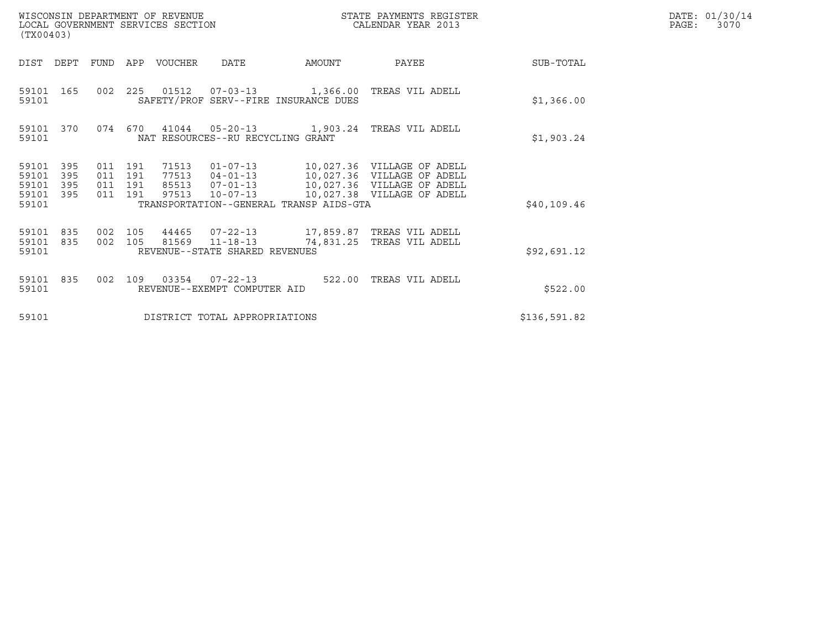| (TX00403)                                                             | WISCONSIN DEPARTMENT OF REVENUE<br>LOCAL GOVERNMENT SERVICES SECTION         |                                                                                                                    | STATE PAYMENTS REGISTER<br>CALENDAR YEAR 2013            |              | DATE: 01/30/14<br>$\mathtt{PAGE}$ :<br>3070 |
|-----------------------------------------------------------------------|------------------------------------------------------------------------------|--------------------------------------------------------------------------------------------------------------------|----------------------------------------------------------|--------------|---------------------------------------------|
| DIST DEPT                                                             | FUND<br>APP<br>VOUCHER                                                       | <b>DATE</b><br>AMOUNT                                                                                              | PAYEE                                                    | SUB-TOTAL    |                                             |
| 59101 165<br>59101                                                    |                                                                              | 002  225  01512  07-03-13  1,366.00 TREAS VIL ADELL<br>SAFETY/PROF SERV--FIRE INSURANCE DUES                       |                                                          | \$1,366.00   |                                             |
| 59101 370<br>59101                                                    | 074<br>670                                                                   | 41044  05-20-13  1,903.24  TREAS VIL ADELL<br>NAT RESOURCES--RU RECYCLING GRANT                                    |                                                          | \$1,903.24   |                                             |
| 59101<br>395<br>395<br>59101<br>395<br>59101<br>395<br>59101<br>59101 | 011 191<br>71513<br>011 191<br>77513<br>011 191<br>85513<br>011 191<br>97513 | 01-07-13 10,027.36 VILLAGE OF ADELL<br>$07 - 01 - 13$<br>$10 - 07 - 13$<br>TRANSPORTATION--GENERAL TRANSP AIDS-GTA | 10,027.36 VILLAGE OF ADELL<br>10,027.38 VILLAGE OF ADELL | \$40.109.46  |                                             |
| 59101<br>835<br>835<br>59101<br>59101                                 | 002 105<br>44465<br>002 105                                                  | 07-22-13 17,859.87 TREAS VIL ADELL<br>81569 11-18-13<br>REVENUE--STATE SHARED REVENUES                             | 74,831.25 TREAS VIL ADELL                                | \$92,691.12  |                                             |
| 59101 835<br>59101                                                    | 002<br>109                                                                   | 03354 07-22-13<br>522.00<br>REVENUE--EXEMPT COMPUTER AID                                                           | TREAS VIL ADELL                                          | \$522.00     |                                             |
| 59101                                                                 |                                                                              | DISTRICT TOTAL APPROPRIATIONS                                                                                      |                                                          | \$136,591.82 |                                             |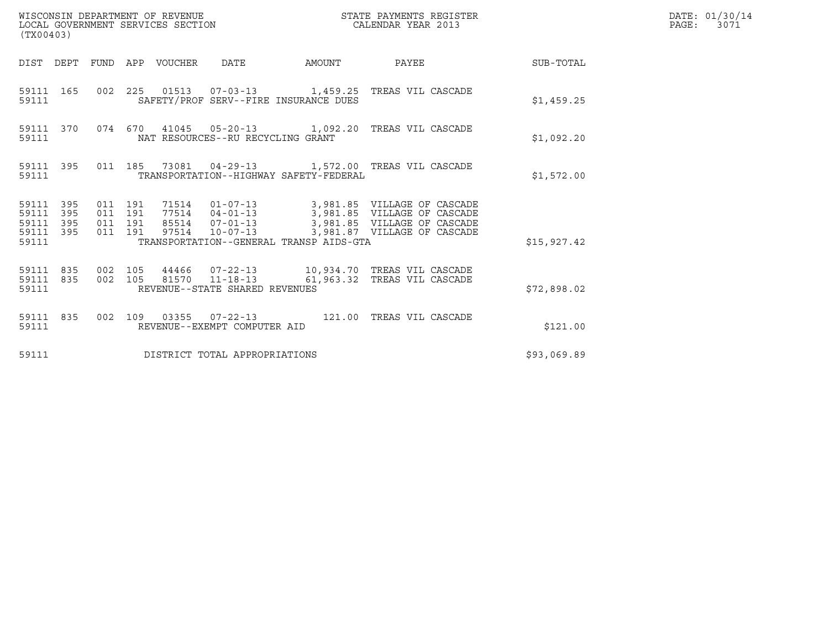| (TX00403)                                                 |                                                                                                                                                                |                        |             | DATE: 01/30/14<br>PAGE: 3071 |
|-----------------------------------------------------------|----------------------------------------------------------------------------------------------------------------------------------------------------------------|------------------------|-------------|------------------------------|
|                                                           | DIST DEPT FUND APP VOUCHER DATE                                                                                                                                | AMOUNT PAYEE SUB-TOTAL |             |                              |
| 59111 165<br>59111                                        | 002 225 01513 07-03-13 1,459.25 TREAS VIL CASCADE<br>SAFETY/PROF SERV--FIRE INSURANCE DUES                                                                     |                        | \$1,459.25  |                              |
| 59111 370<br>59111                                        | 074 670 41045 05-20-13 1,092.20 TREAS VIL CASCADE<br>NAT RESOURCES--RU RECYCLING GRANT                                                                         |                        | \$1,092.20  |                              |
| 59111                                                     | 59111 395 011 185 73081 04-29-13 1,572.00 TREAS VIL CASCADE<br>TRANSPORTATION--HIGHWAY SAFETY-FEDERAL                                                          |                        | \$1,572.00  |                              |
| 59111 395<br>59111 395<br>59111 395<br>59111 395<br>59111 | 011 191<br>011 191<br>011 191<br>97514 10-07-13 3,981.87 VILLAGE OF CASCADE<br>011 191<br>TRANSPORTATION--GENERAL TRANSP AIDS-GTA                              |                        | \$15,927.42 |                              |
| 59111                                                     | 59111 835 002 105 44466 07-22-13 10,934.70 TREAS VIL CASCADE<br>59111 835 002 105 81570 11-18-13 61,963.32 TREAS VIL CASCADE<br>REVENUE--STATE SHARED REVENUES |                        | \$72,898.02 |                              |
| 59111                                                     | 59111 835 002 109 03355 07-22-13 121.00 TREAS VIL CASCADE<br>REVENUE--EXEMPT COMPUTER AID                                                                      |                        | \$121.00    |                              |
| 59111                                                     | DISTRICT TOTAL APPROPRIATIONS                                                                                                                                  |                        | \$93,069.89 |                              |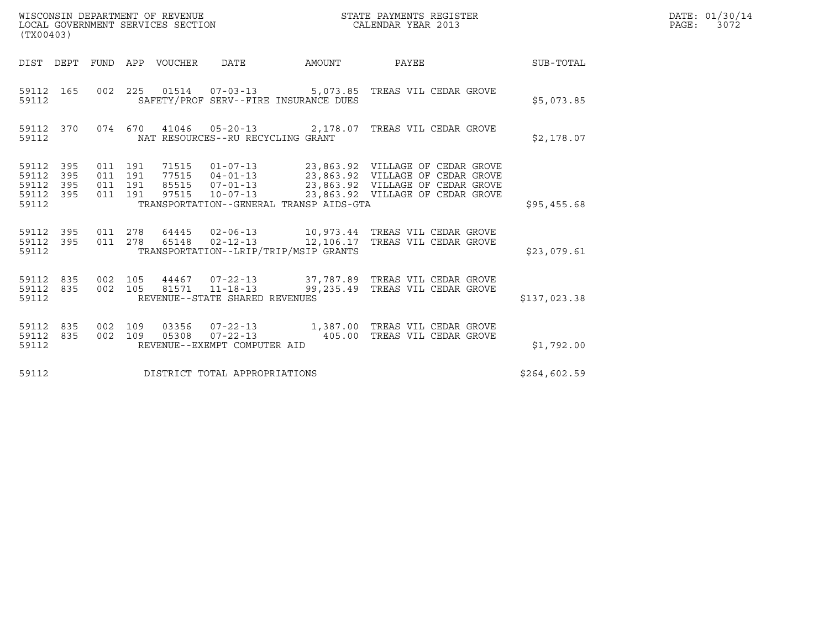| WISCONSIN DEPARTMENT OF REVENUE<br>LOCAL GOVERNMENT SERVICES SECTION<br>$\sqrt{m}$ | STATE PAYMENTS REGISTER<br>CALENDAR YEAR 2013 | DATE: 01/30/14<br>3072<br>PAGE: |
|------------------------------------------------------------------------------------|-----------------------------------------------|---------------------------------|

| (TX00403)                                                                           |                                                                                                                  |                                                                                                                                              |              |
|-------------------------------------------------------------------------------------|------------------------------------------------------------------------------------------------------------------|----------------------------------------------------------------------------------------------------------------------------------------------|--------------|
| DIST<br>DEPT<br><b>FUND</b>                                                         | APP<br>VOUCHER<br>DATE                                                                                           | AMOUNT<br>PAYEE                                                                                                                              | SUB-TOTAL    |
| 002<br>165<br>59112<br>59112                                                        | 225<br>SAFETY/PROF SERV--FIRE INSURANCE DUES                                                                     | 01514  07-03-13  5,073.85  TREAS VIL CEDAR GROVE                                                                                             | \$5,073.85   |
| 370<br>074<br>59112<br>59112                                                        | 670<br>41046 05-20-13 2,178.07<br>NAT RESOURCES--RU RECYCLING GRANT                                              | TREAS VIL CEDAR GROVE                                                                                                                        | \$2,178.07   |
| 59112<br>395<br>011<br>59112<br>395<br>59112<br>395<br>59112<br>011<br>395<br>59112 | 191<br>71515<br>77515<br>011 191<br>011 191<br>191<br>97515<br>TRANSPORTATION--GENERAL TRANSP AIDS-GTA           | 04-01-13 23,863.92 VILLAGE OF CEDAR GROVE<br>85515  07-01-13  23,863.92  VILLAGE OF CEDAR GROVE<br>10-07-13 23,863.92 VILLAGE OF CEDAR GROVE | \$95,455.68  |
| 59112<br>395<br>011<br>59112<br>011<br>395<br>59112                                 | $02 - 12 - 13$ 12, 106.17<br>278<br>65148<br>TRANSPORTATION--LRIP/TRIP/MSIP GRANTS                               | 278  64445  02-06-13   10,973.44   TREAS VIL CEDAR GROVE<br>TREAS VIL CEDAR GROVE                                                            | \$23,079.61  |
| 835<br>002<br>59112<br>002<br>59112<br>835<br>59112                                 | 105<br>44467  07-22-13  37,787.89<br>$11 - 18 - 13$ 99, 235.49<br>105<br>81571<br>REVENUE--STATE SHARED REVENUES | TREAS VIL CEDAR GROVE<br>TREAS VIL CEDAR GROVE                                                                                               | \$137,023.38 |
| 002<br>835<br>59112<br>002<br>59112<br>835<br>59112                                 | 109<br>03356<br>$07 - 22 - 13$ 405.00<br>109<br>05308<br>REVENUE--EXEMPT COMPUTER AID                            | 07-22-13 1,387.00 TREAS VIL CEDAR GROVE<br>TREAS VIL CEDAR GROVE                                                                             | \$1,792.00   |
| 59112                                                                               | DISTRICT TOTAL APPROPRIATIONS                                                                                    |                                                                                                                                              | \$264,602.59 |

(TX00403)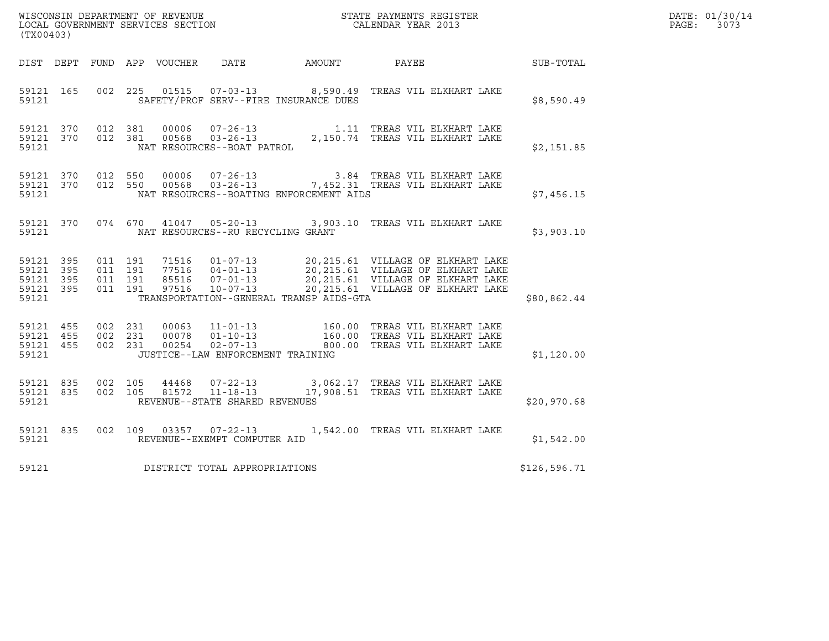|                                              |           |                                          |  |  |                                         |                                         |                                                                                                                                                                                                                               |  |              | DATE: 01/30/14 |
|----------------------------------------------|-----------|------------------------------------------|--|--|-----------------------------------------|-----------------------------------------|-------------------------------------------------------------------------------------------------------------------------------------------------------------------------------------------------------------------------------|--|--------------|----------------|
| (TX00403)                                    |           |                                          |  |  |                                         |                                         |                                                                                                                                                                                                                               |  |              | PAGE: 3073     |
|                                              |           |                                          |  |  |                                         |                                         | DIST DEPT FUND APP VOUCHER DATE AMOUNT PAYEE SUB-TOTAL                                                                                                                                                                        |  |              |                |
| 59121                                        |           |                                          |  |  |                                         | SAFETY/PROF SERV--FIRE INSURANCE DUES   | 59121 165 002 225 01515 07-03-13 8,590.49 TREAS VIL ELKHART LAKE                                                                                                                                                              |  | \$8,590.49   |                |
| 59121                                        | 59121 370 | 59121 370 012 381<br>012 381             |  |  |                                         |                                         |                                                                                                                                                                                                                               |  | \$2,151.85   |                |
| 59121                                        | 59121 370 | 59121 370 012 550                        |  |  |                                         | NAT RESOURCES--BOATING ENFORCEMENT AIDS | 012 550 00006 07-26-13 3.84 TREAS VIL ELKHART LAKE<br>012 550 00568 03-26-13 7,452.31 TREAS VIL ELKHART LAKE                                                                                                                  |  | \$7,456.15   |                |
|                                              |           |                                          |  |  | 59121 NAT RESOURCES--RU RECYCLING GRANT |                                         | 59121 370 074 670 41047 05-20-13 3,903.10 TREAS VIL ELKHART LAKE                                                                                                                                                              |  | \$3,903.10   |                |
| 59121 395<br>59121 395<br>59121 395<br>59121 | 59121 395 | 011 191<br>011 191<br>011 191<br>011 191 |  |  |                                         | TRANSPORTATION--GENERAL TRANSP AIDS-GTA | 71516  01-07-13  20,215.61  VILLAGE OF ELKHART LAKE<br>77516  04-01-13  20,215.61  VILLAGE OF ELKHART LAKE<br>85516  07-01-13  20,215.61  VILLAGE OF ELKHART LAKE<br>97516  10-07-13  20,215.61  VILLAGE OF ELKHART LAKE      |  | \$80,862.44  |                |
|                                              |           | 59121 455 002 231                        |  |  |                                         |                                         |                                                                                                                                                                                                                               |  |              |                |
| 59121 455<br>59121                           | 59121 455 | 002 231<br>002 231                       |  |  | JUSTICE--LAW ENFORCEMENT TRAINING       |                                         | 00063   11-01-13   160.00   TREAS   VIL ELKHART LAKE   00078   01-10-13   160.00   TREAS   VIL ELKHART LAKE   00254   02-07-13   800.00   TREAS   VIL ELKHART LAKE                                                            |  | \$1,120.00   |                |
| 59121 835<br>59121                           | 59121 835 | 002 105<br>002 105                       |  |  | REVENUE--STATE SHARED REVENUES          |                                         | $\begin{array}{cccc} 44468 & 07\textnormal{-}22\textnormal{-}13 & 3,062.17 & \textnormal{TREAS VIL ELKHART LAKE} \\ 81572 & 11\textnormal{-}18\textnormal{-}13 & 17,908.51 & \textnormal{TREAS VIL ELKHART LAKE} \end{array}$ |  | \$20,970.68  |                |
| 59121                                        | 59121 835 |                                          |  |  | REVENUE--EXEMPT COMPUTER AID            |                                         | 002 109 03357 07-22-13 1,542.00 TREAS VIL ELKHART LAKE                                                                                                                                                                        |  | \$1,542.00   |                |
| 59121                                        |           |                                          |  |  | DISTRICT TOTAL APPROPRIATIONS           |                                         |                                                                                                                                                                                                                               |  | \$126,596.71 |                |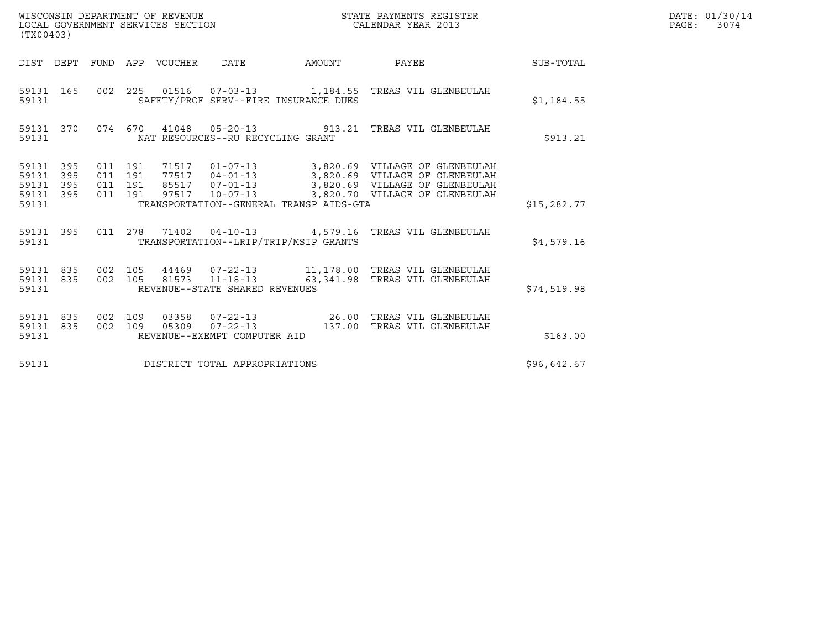| (TX00403)                                 |                          |                                          |     | WISCONSIN DEPARTMENT OF REVENUE<br>LOCAL GOVERNMENT SERVICES SECTION |                                                           |        | STATE PAYMENTS REGISTER<br>CALENDAR YEAR 2013                                                                                                                   |              | DATE: 01/30/14<br>PAGE:<br>3074 |
|-------------------------------------------|--------------------------|------------------------------------------|-----|----------------------------------------------------------------------|-----------------------------------------------------------|--------|-----------------------------------------------------------------------------------------------------------------------------------------------------------------|--------------|---------------------------------|
|                                           |                          |                                          |     | DIST DEPT FUND APP VOUCHER                                           | DATE                                                      | AMOUNT | PAYEE                                                                                                                                                           | SUB-TOTAL    |                                 |
| 59131                                     | 59131 165                |                                          |     |                                                                      | SAFETY/PROF SERV--FIRE INSURANCE DUES                     |        | 002  225  01516  07-03-13   1,184.55  TREAS VIL GLENBEULAH                                                                                                      | \$1,184.55   |                                 |
| 59131                                     | 59131 370                |                                          |     |                                                                      | NAT RESOURCES--RU RECYCLING GRANT                         |        | 074 670 41048 05-20-13 913.21 TREAS VIL GLENBEULAH                                                                                                              | \$913.21     |                                 |
| 59131<br>59131<br>59131<br>59131<br>59131 | 395<br>395<br>395<br>395 | 011 191<br>011 191<br>011 191<br>011 191 |     | 71517<br>77517<br>85517<br>97517                                     | $10 - 07 - 13$<br>TRANSPORTATION--GENERAL TRANSP AIDS-GTA |        | 01-07-13 3,820.69 VILLAGE OF GLENBEULAH<br>04-01-13 3,820.69 VILLAGE OF GLENBEULAH<br>07-01-13 3,820.69 VILLAGE OF GLENBEULAH<br>3,820.70 VILLAGE OF GLENBEULAH | \$15, 282.77 |                                 |
| 59131                                     | 59131 395                |                                          |     |                                                                      | TRANSPORTATION--LRIP/TRIP/MSIP GRANTS                     |        | 011  278  71402  04-10-13  4,579.16  TREAS VIL GLENBEULAH                                                                                                       | \$4,579.16   |                                 |
| 59131                                     | 59131 835<br>59131 835   | 002 105<br>002 105                       |     | 81573                                                                | $11 - 18 - 13$<br>REVENUE--STATE SHARED REVENUES          |        | 44469  07-22-13   11,178.00   TREAS VIL GLENBEULAH<br>63,341.98 TREAS VIL GLENBEULAH                                                                            | \$74,519.98  |                                 |
| 59131<br>59131                            | 59131 835<br>835         | 002<br>002 109                           | 109 | 03358<br>05309                                                       | $07 - 22 - 13$<br>REVENUE--EXEMPT COMPUTER AID            |        | 137.00 TREAS VIL GLENBEULAH                                                                                                                                     | \$163.00     |                                 |

59131 REVENUE--EXEMPT COMPUTER AID<br>59131 DISTRICT TOTAL APPROPRIATIONS \$96,642.67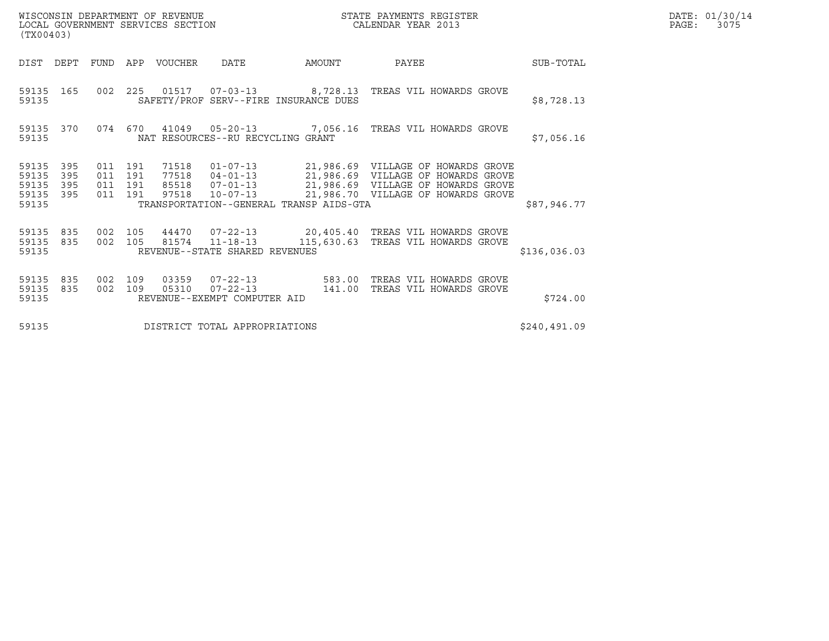| WISCONSIN DEPARTMENT OF REVENUE<br>LOCAL GOVERNMENT SERVICES SECTION<br>(TX00403) |                   |                                          |            |                  |                                                                         | STATE PAYMENTS REGISTER<br>CALENDAR YEAR 2013 |                                                                                                                                                                      |  |              | DATE: 01/30/14<br>PAGE: | 3075 |
|-----------------------------------------------------------------------------------|-------------------|------------------------------------------|------------|------------------|-------------------------------------------------------------------------|-----------------------------------------------|----------------------------------------------------------------------------------------------------------------------------------------------------------------------|--|--------------|-------------------------|------|
| DIST                                                                              | DEPT              | FUND                                     |            | APP VOUCHER DATE |                                                                         | AMOUNT                                        | PAYEE                                                                                                                                                                |  | SUB-TOTAL    |                         |      |
| 59135                                                                             | 59135 165         |                                          |            |                  | SAFETY/PROF SERV--FIRE INSURANCE DUES                                   |                                               | 002  225  01517  07-03-13  8,728.13  TREAS VIL HOWARDS GROVE                                                                                                         |  | \$8,728.13   |                         |      |
| 59135                                                                             | 59135 370         |                                          |            |                  | NAT RESOURCES--RU RECYCLING GRANT                                       |                                               | 074  670  41049  05-20-13  7,056.16  TREAS VIL HOWARDS GROVE                                                                                                         |  | \$7,056.16   |                         |      |
| 59135<br>59135<br>59135<br>59135 395<br>59135                                     | 395<br>395<br>395 | 011 191<br>011 191<br>011 191<br>011 191 |            | 71518            | TRANSPORTATION--GENERAL TRANSP AIDS-GTA                                 |                                               | 77518  04-01-13  21,986.69  VILLAGE OF HOWARDS GROVE<br>85518  07-01-13  21,986.69  VILLAGE OF HOWARDS GROVE<br>97518  10-07-13  21,986.70  VILLAGE OF HOWARDS GROVE |  | \$87,946.77  |                         |      |
| 59135 835<br>59135                                                                | 59135 835         | 002<br>002 105                           | 105        |                  | REVENUE--STATE SHARED REVENUES                                          |                                               | 44470  07-22-13  20,405.40 TREAS VIL HOWARDS GROVE<br>81574  11-18-13  115,630.63  TREAS VIL HOWARDS GROVE                                                           |  | \$136,036.03 |                         |      |
| 59135<br>59135 835<br>59135                                                       | 835               | 002<br>002                               | 109<br>109 |                  | 03359 07-22-13 583.00<br>05310 07-22-13<br>REVENUE--EXEMPT COMPUTER AID | 141.00                                        | TREAS VIL HOWARDS GROVE<br>TREAS VIL HOWARDS GROVE                                                                                                                   |  | \$724.00     |                         |      |
| 59135                                                                             |                   |                                          |            |                  | DISTRICT TOTAL APPROPRIATIONS                                           |                                               |                                                                                                                                                                      |  | \$240,491.09 |                         |      |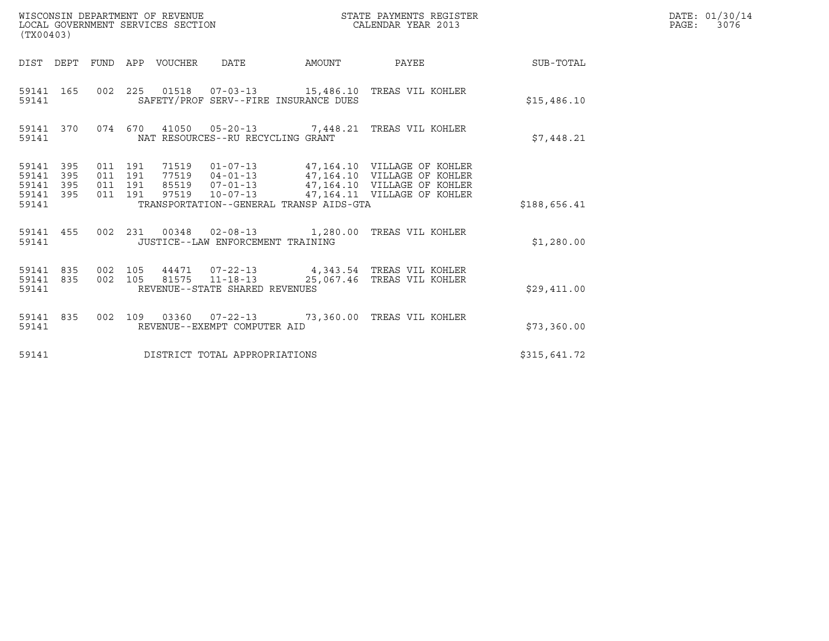| (TX00403)                                         |                                |                                          | WISCONSIN DEPARTMENT OF REVENUE<br>LOCAL GOVERNMENT SERVICES SECTION |                                                          |        | STATE PAYMENTS REGISTER<br>CALENDAR YEAR 2013                             |                 | DATE: 01/30/14<br>PAGE: 3076 |
|---------------------------------------------------|--------------------------------|------------------------------------------|----------------------------------------------------------------------|----------------------------------------------------------|--------|---------------------------------------------------------------------------|-----------------|------------------------------|
|                                                   |                                |                                          | DIST DEPT FUND APP VOUCHER DATE                                      |                                                          | AMOUNT |                                                                           | PAYEE SUB-TOTAL |                              |
| 59141                                             | 59141 165                      |                                          |                                                                      | SAFETY/PROF SERV--FIRE INSURANCE DUES                    |        | 002  225  01518  07-03-13  15,486.10 TREAS VIL KOHLER                     | \$15,486.10     |                              |
| 59141                                             | 59141 370                      |                                          |                                                                      | NAT RESOURCES--RU RECYCLING GRANT                        |        | 074 670 41050 05-20-13 7,448.21 TREAS VIL KOHLER                          | \$7,448.21      |                              |
| 59141 395<br>59141<br>59141<br>59141 395<br>59141 | 395<br>395                     | 011 191<br>011 191<br>011 191<br>011 191 |                                                                      | TRANSPORTATION--GENERAL TRANSP AIDS-GTA                  |        |                                                                           | \$188,656.41    |                              |
| 59141                                             | 59141 455                      |                                          |                                                                      | JUSTICE--LAW ENFORCEMENT TRAINING                        |        | 002 231 00348 02-08-13 1,280.00 TREAS VIL KOHLER                          | \$1,280.00      |                              |
| 59141                                             | 59141 835 002 105<br>59141 835 |                                          |                                                                      | 002 105 81575 11-18-13<br>REVENUE--STATE SHARED REVENUES |        | 44471  07-22-13  4,343.54  TREAS VIL KOHLER<br>25,067.46 TREAS VIL KOHLER | \$29,411.00     |                              |
| 59141                                             | 59141 835                      |                                          |                                                                      | REVENUE--EXEMPT COMPUTER AID                             |        | 002 109 03360 07-22-13 73,360.00 TREAS VIL KOHLER                         | \$73,360.00     |                              |
| 59141                                             |                                |                                          |                                                                      | DISTRICT TOTAL APPROPRIATIONS                            |        |                                                                           | \$315,641.72    |                              |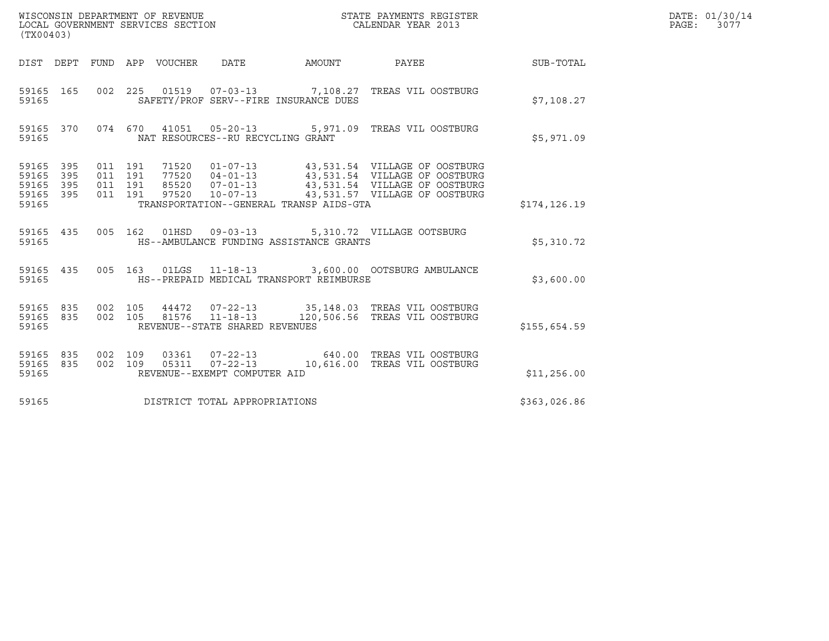| WISCONSIN DEPARTMENT OF REVENUE<br>LOCAL GOVERNMENT SERVICES SECTION<br>(TX00403)                                                                                                                                  |        | STATE PAYMENTS REGISTER<br>CALENDAR YEAR 2013                                                                                                            |              | DATE: 01/30/14<br>$\mathtt{PAGE:}$<br>3077 |
|--------------------------------------------------------------------------------------------------------------------------------------------------------------------------------------------------------------------|--------|----------------------------------------------------------------------------------------------------------------------------------------------------------|--------------|--------------------------------------------|
| DIST DEPT FUND APP VOUCHER DATE                                                                                                                                                                                    | AMOUNT | PAYEE                                                                                                                                                    | SUB-TOTAL    |                                            |
| 002 225 01519 07-03-13 7,108.27 TREAS VIL OOSTBURG<br>59165 165<br>SAFETY/PROF SERV--FIRE INSURANCE DUES<br>59165                                                                                                  |        |                                                                                                                                                          | \$7.108.27   |                                            |
| 074 670 41051 05-20-13 5,971.09 TREAS VIL OOSTBURG<br>59165 370<br>59165<br>NAT RESOURCES--RU RECYCLING GRANT                                                                                                      |        |                                                                                                                                                          | \$5,971.09   |                                            |
| 59165<br>395<br>011 191<br>71520<br>011 191<br>77520<br>$04 - 01 - 13$<br>59165<br>395<br>395<br>011 191<br>85520 07-01-13<br>59165<br>395<br>011 191<br>59165<br>59165<br>TRANSPORTATION--GENERAL TRANSP AIDS-GTA |        | 01-07-13 43,531.54 VILLAGE OF OOSTBURG<br>43,531.54 VILLAGE OF OOSTBURG<br>43,531.54 VILLAGE OF OOSTBURG<br>97520 10-07-13 43,531.57 VILLAGE OF OOSTBURG | \$174,126.19 |                                            |
| 59165 435<br>005  162  01HSD  09-03-13  5,310.72  VILLAGE OOTSBURG<br>59165<br>HS--AMBULANCE FUNDING ASSISTANCE GRANTS                                                                                             |        |                                                                                                                                                          | \$5,310.72   |                                            |
| 59165 435<br>005  163  01LGS  11-18-13  3,600.00  OOTSBURG AMBULANCE<br>HS--PREPAID MEDICAL TRANSPORT REIMBURSE<br>59165                                                                                           |        |                                                                                                                                                          | \$3,600.00   |                                            |
| 59165<br>835<br>002 105<br>002 105<br>81576 11-18-13<br>59165 835<br>REVENUE--STATE SHARED REVENUES<br>59165                                                                                                       |        | 44472  07-22-13  35,148.03  TREAS VIL OOSTBURG<br>120,506.56 TREAS VIL OOSTBURG                                                                          | \$155,654.59 |                                            |
| 59165 835<br>002 109<br>03361<br>$07 - 22 - 13$<br>002 109<br>05311  07-22-13<br>59165<br>835<br>REVENUE--EXEMPT COMPUTER AID<br>59165                                                                             |        | 640.00 TREAS VIL OOSTBURG<br>10,616.00 TREAS VIL OOSTBURG                                                                                                | \$11,256.00  |                                            |
| 59165<br>DISTRICT TOTAL APPROPRIATIONS                                                                                                                                                                             |        |                                                                                                                                                          | \$363,026.86 |                                            |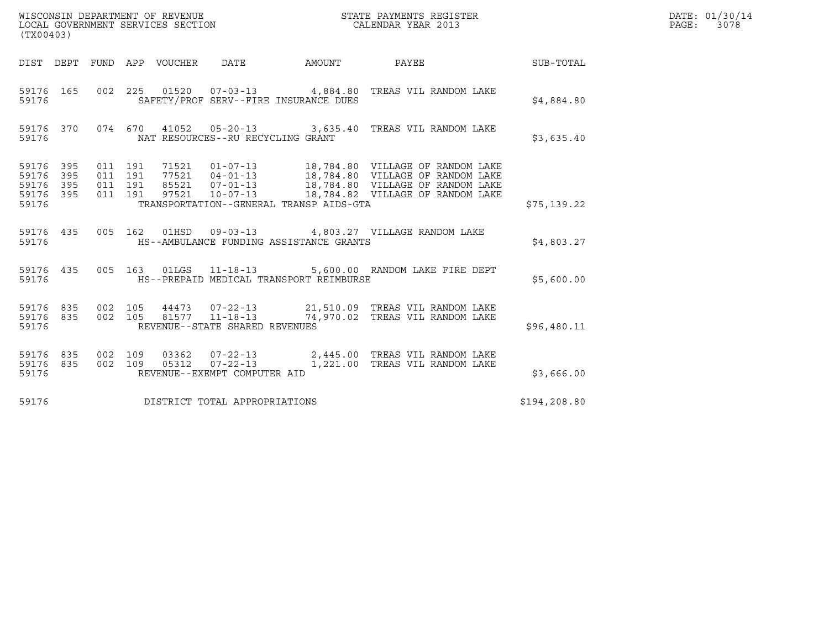| (TX00403)                                                                                                                                                                       |                                                                                                                |              | DATE: 01/30/14<br>PAGE:<br>3078 |
|---------------------------------------------------------------------------------------------------------------------------------------------------------------------------------|----------------------------------------------------------------------------------------------------------------|--------------|---------------------------------|
| DIST DEPT FUND APP VOUCHER DATE AMOUNT                                                                                                                                          | <b>PAYEE</b>                                                                                                   | SUB-TOTAL    |                                 |
| 59176  165  002  225  01520  07-03-13  4,884.80  TREAS VIL RANDOM LAKE<br>SAFETY/PROF SERV--FIRE INSURANCE DUES<br>59176                                                        |                                                                                                                | \$4,884.80   |                                 |
| 59176 370 074 670 41052 05-20-13 3,635.40 TREAS VIL RANDOM LAKE                                                                                                                 |                                                                                                                | \$3,635.40   |                                 |
| 59176 395<br>59176 395<br>59176 395<br>59176 395<br>TRANSPORTATION--GENERAL TRANSP AIDS-GTA<br>59176                                                                            |                                                                                                                | \$75,139.22  |                                 |
| 59176 435 005 162 01HSD 09-03-13 4,803.27 VILLAGE RANDOM LAKE<br>HS--AMBULANCE FUNDING ASSISTANCE GRANTS<br>59176                                                               |                                                                                                                | \$4,803.27   |                                 |
| 59176 435 005 163 01LGS 11-18-13 5,600.00 RANDOM LAKE FIRE DEPT                                                                                                                 |                                                                                                                | \$5,600.00   |                                 |
| 59176 835 002 105 44473 07-22-13 21,510.09 TREAS VIL RANDOM LAKE<br>59176 835 002 105 81577 11-18-13 74,970.02 TREAS VIL RANDOM LAKE<br>REVENUE--STATE SHARED REVENUES<br>59176 |                                                                                                                | \$96,480.11  |                                 |
| 59176 835<br>59176 835<br>REVENUE--EXEMPT COMPUTER AID<br>59176                                                                                                                 | 002 109 03362 07-22-13 2,445.00 TREAS VIL RANDOM LAKE<br>002 109 05312 07-22-13 1,221.00 TREAS VIL RANDOM LAKE | \$3,666.00   |                                 |
| DISTRICT TOTAL APPROPRIATIONS<br>59176                                                                                                                                          |                                                                                                                | \$194,208.80 |                                 |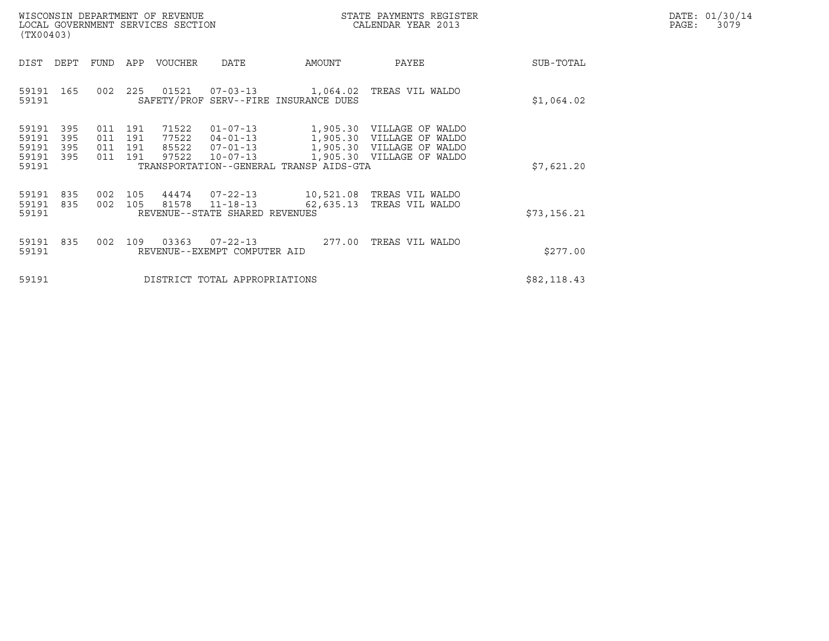| DATE: | 01/30/14 |
|-------|----------|
| PAGE: | 3079     |

| WISCONSIN DEPARTMENT OF REVENUE<br>LOCAL GOVERNMENT SERVICES SECTION<br>(TX00403) |                                           |                          |                          |                          |                                  |                                                                      |                                                                   | STATE PAYMENTS REGISTER<br>CALENDAR YEAR 2013                                                  |             | DATE: 01/30/14<br>$\mathtt{PAGE:}$<br>3079 |
|-----------------------------------------------------------------------------------|-------------------------------------------|--------------------------|--------------------------|--------------------------|----------------------------------|----------------------------------------------------------------------|-------------------------------------------------------------------|------------------------------------------------------------------------------------------------|-------------|--------------------------------------------|
|                                                                                   | DIST                                      | DEPT                     | FUND                     | APP                      | VOUCHER                          | DATE                                                                 | AMOUNT                                                            | PAYEE                                                                                          | SUB-TOTAL   |                                            |
|                                                                                   | 59191 165<br>59191                        |                          | 002                      | 225                      | 01521                            |                                                                      | $07 - 03 - 13$ 1, 064.02<br>SAFETY/PROF SERV--FIRE INSURANCE DUES | TREAS VIL WALDO                                                                                | \$1,064.02  |                                            |
|                                                                                   | 59191<br>59191<br>59191<br>59191<br>59191 | 395<br>395<br>395<br>395 | 011<br>011<br>011<br>011 | 191<br>191<br>191<br>191 | 71522<br>77522<br>85522<br>97522 | $01 - 07 - 13$<br>$04 - 01 - 13$<br>$07 - 01 - 13$<br>$10 - 07 - 13$ | 1,905.30<br>1,905.30<br>TRANSPORTATION--GENERAL TRANSP AIDS-GTA   | 1,905.30 VILLAGE OF WALDO<br>VILLAGE OF WALDO<br>1,905.30 VILLAGE OF WALDO<br>VILLAGE OF WALDO | \$7,621.20  |                                            |
|                                                                                   | 59191<br>59191<br>59191                   | 835<br>835               | 002<br>002               | 105<br>105               | 44474<br>81578                   | $07 - 22 - 13$<br>$11 - 18 - 13$<br>REVENUE--STATE SHARED REVENUES   | 62,635.13                                                         | 10,521.08 TREAS VIL WALDO<br>TREAS VIL WALDO                                                   | \$73,156.21 |                                            |
|                                                                                   | 59191<br>59191                            | 835                      | 002                      | 109                      | 03363                            | $07 - 22 - 13$<br>REVENUE--EXEMPT COMPUTER AID                       | 277.00                                                            | TREAS VIL WALDO                                                                                | \$277.00    |                                            |
|                                                                                   | 59191                                     |                          |                          |                          |                                  | DISTRICT TOTAL APPROPRIATIONS                                        |                                                                   |                                                                                                | \$82,118.43 |                                            |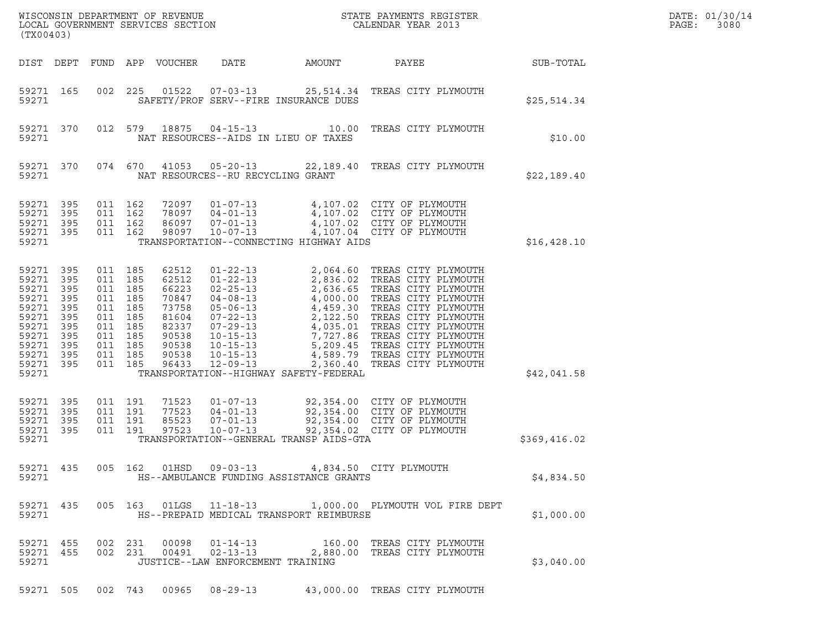| (TX00403)                                                                                                    |                                                                    |         |                                                                                                                       |                                                                                                 |                                                                                                                                                                                                    |                                                                                          | $\tt WISCONSIM DEPARTMENT OF REVENUE$ $\tt WISCONMIN SERS THE RAYMENT S REGISTERLOCAL GOVERNMENT SERVICES SECTION CALENDAR YEAR 2013$                                                                                                                                                                                                                        |              | DATE: 01/30/14<br>PAGE:<br>3080 |
|--------------------------------------------------------------------------------------------------------------|--------------------------------------------------------------------|---------|-----------------------------------------------------------------------------------------------------------------------|-------------------------------------------------------------------------------------------------|----------------------------------------------------------------------------------------------------------------------------------------------------------------------------------------------------|------------------------------------------------------------------------------------------|--------------------------------------------------------------------------------------------------------------------------------------------------------------------------------------------------------------------------------------------------------------------------------------------------------------------------------------------------------------|--------------|---------------------------------|
|                                                                                                              | DIST DEPT                                                          |         |                                                                                                                       | FUND APP VOUCHER                                                                                | DATE                                                                                                                                                                                               | AMOUNT                                                                                   | PAYEE                                                                                                                                                                                                                                                                                                                                                        | SUB-TOTAL    |                                 |
| 59271 165<br>59271                                                                                           |                                                                    | 002     | 225                                                                                                                   | 01522                                                                                           |                                                                                                                                                                                                    | SAFETY/PROF SERV--FIRE INSURANCE DUES                                                    | 07-03-13 25,514.34 TREAS CITY PLYMOUTH                                                                                                                                                                                                                                                                                                                       | \$25,514.34  |                                 |
| 59271 370<br>59271                                                                                           |                                                                    |         | 012 579                                                                                                               | 18875                                                                                           |                                                                                                                                                                                                    | NAT RESOURCES--AIDS IN LIEU OF TAXES                                                     | 04-15-13 10.00 TREAS CITY PLYMOUTH                                                                                                                                                                                                                                                                                                                           | \$10.00      |                                 |
| 59271 370<br>59271                                                                                           |                                                                    |         | 074 670                                                                                                               | 41053                                                                                           | NAT RESOURCES--RU RECYCLING GRANT                                                                                                                                                                  |                                                                                          | 05-20-13 22,189.40 TREAS CITY PLYMOUTH                                                                                                                                                                                                                                                                                                                       | \$22,189.40  |                                 |
| 59271<br>59271<br>59271<br>59271 395<br>59271                                                                | 395<br>395<br>395                                                  | 011 162 | 011 162<br>011 162<br>011 162                                                                                         | 72097<br>78097<br>86097<br>98097                                                                | $01 - 07 - 13$<br>$04 - 01 - 13$<br>$07 - 01 - 13$<br>$10 - 07 - 13$                                                                                                                               | TRANSPORTATION--CONNECTING HIGHWAY AIDS                                                  | 4,107.02 CITY OF PLYMOUTH<br>4,107.02 CITY OF PLYMOUTH<br>4,107.02 CITY OF PLYMOUTH<br>4,107.04 CITY OF PLYMOUTH                                                                                                                                                                                                                                             | \$16,428.10  |                                 |
| 59271<br>59271<br>59271<br>59271<br>59271<br>59271<br>59271<br>59271<br>59271<br>59271<br>59271 395<br>59271 | 395<br>395<br>395<br>395<br>395<br>395<br>395<br>395<br>395<br>395 |         | 011 185<br>011 185<br>011 185<br>011 185<br>011 185<br>011 185<br>011 185<br>011 185<br>011 185<br>011 185<br>011 185 | 62512<br>62512<br>66223<br>70847<br>73758<br>81604<br>82337<br>90538<br>90538<br>90538<br>96433 | $01 - 22 - 13$<br>$01 - 22 - 13$<br>$02 - 25 - 13$<br>$04 - 08 - 13$<br>$05 - 06 - 13$<br>$07 - 22 - 13$<br>$07 - 29 - 13$<br>$10 - 15 - 13$<br>$10 - 15 - 13$<br>$10 - 15 - 13$<br>$12 - 09 - 13$ | TRANSPORTATION--HIGHWAY SAFETY-FEDERAL                                                   | 2,064.60 TREAS CITY PLYMOUTH<br>2,836.02 TREAS CITY PLYMOUTH<br>2,636.65 TREAS CITY PLYMOUTH<br>4,000.00 TREAS CITY PLYMOUTH<br>4,459.30 TREAS CITY PLYMOUTH<br>2,122.50 TREAS CITY PLYMOUTH<br>4,035.01 TREAS CITY PLYMOUTH<br>7,727.86 TREAS CITY PLYMOUTH<br>5,209.45 TREAS CITY PLYMOUTH<br>4,589.79 TREAS CITY PLYMOUTH<br>2,360.40 TREAS CITY PLYMOUTH | \$42,041.58  |                                 |
| 59271<br>59271<br>59271<br>59271<br>59271                                                                    | 395<br>395<br>395<br>395                                           |         | 011 191<br>011 191<br>011 191<br>011 191                                                                              | 71523<br>77523<br>85523<br>97523                                                                | $01 - 07 - 13$<br>$04 - 01 - 13$<br>$07 - 01 - 13$<br>$10 - 07 - 13$                                                                                                                               | TRANSPORTATION--GENERAL TRANSP AIDS-GTA                                                  | 92,354.00 CITY OF PLYMOUTH<br>92,354.00 CITY OF PLYMOUTH<br>92,354.00 CITY OF PLYMOUTH<br>92,354.02 CITY OF PLYMOUTH                                                                                                                                                                                                                                         | \$369,416.02 |                                 |
| 59271                                                                                                        | 59271 435                                                          |         |                                                                                                                       |                                                                                                 |                                                                                                                                                                                                    | 005 162 01HSD 09-03-13 4,834.50 CITY PLYMOUTH<br>HS--AMBULANCE FUNDING ASSISTANCE GRANTS |                                                                                                                                                                                                                                                                                                                                                              | \$4,834.50   |                                 |
| 59271                                                                                                        | 59271 435                                                          |         |                                                                                                                       |                                                                                                 |                                                                                                                                                                                                    | HS--PREPAID MEDICAL TRANSPORT REIMBURSE                                                  | 005  163  01LGS  11-18-13  1,000.00  PLYMOUTH  VOL FIRE DEPT                                                                                                                                                                                                                                                                                                 | \$1,000.00   |                                 |
| 59271                                                                                                        | 59271 455<br>59271 455                                             |         | 002 231<br>002 231                                                                                                    | 00098<br>00491                                                                                  | $01 - 14 - 13$<br>JUSTICE--LAW ENFORCEMENT TRAINING                                                                                                                                                |                                                                                          | 160.00 TREAS CITY PLYMOUTH<br>02-13-13 2,880.00 TREAS CITY PLYMOUTH                                                                                                                                                                                                                                                                                          | \$3,040.00   |                                 |
|                                                                                                              | 59271 505                                                          |         |                                                                                                                       |                                                                                                 |                                                                                                                                                                                                    |                                                                                          | 002 743 00965 08-29-13 43,000.00 TREAS CITY PLYMOUTH                                                                                                                                                                                                                                                                                                         |              |                                 |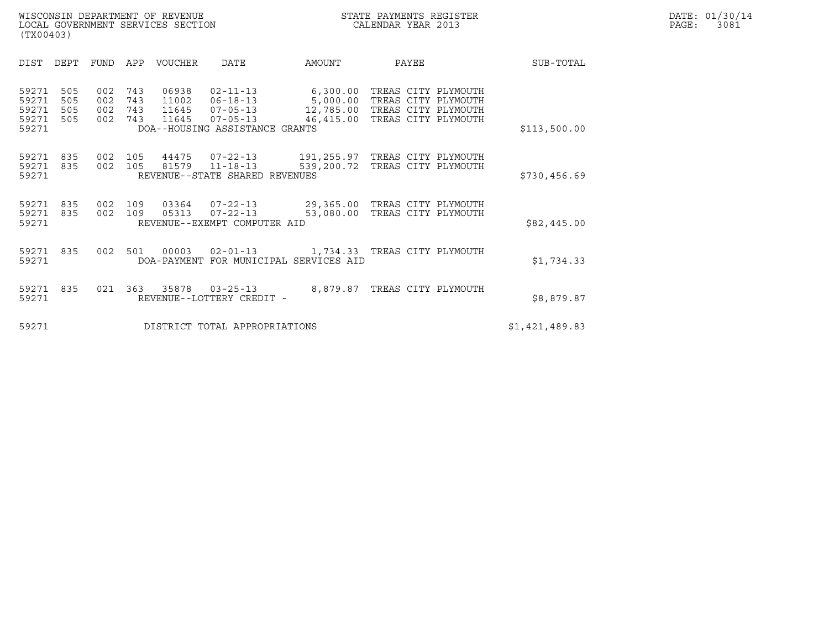| WISCONSIN DEPARTMENT OF REVENUE<br>LOCAL GOVERNMENT SERVICES SECTION<br>(TX00403) | STATE PAYMENTS REGISTER<br>CALENDAR YEAR 2013 | DATE: 01/30/14<br>PAGE:<br>3081 |
|-----------------------------------------------------------------------------------|-----------------------------------------------|---------------------------------|

| (TX00403)                                 |                          |                          |                          |                         |                                                                                                   |                                                                    |                                                                   |                |
|-------------------------------------------|--------------------------|--------------------------|--------------------------|-------------------------|---------------------------------------------------------------------------------------------------|--------------------------------------------------------------------|-------------------------------------------------------------------|----------------|
| DIST                                      | DEPT                     | FUND                     | APP                      | <b>VOUCHER</b>          | DATE                                                                                              | AMOUNT                                                             | PAYEE                                                             | SUB-TOTAL      |
| 59271<br>59271<br>59271<br>59271<br>59271 | 505<br>505<br>505<br>505 | 002<br>002<br>002<br>002 | 743<br>743<br>743<br>743 | 06938<br>11002<br>11645 | $02 - 11 - 13$<br>$06 - 18 - 13$<br>11645  07-05-13<br>07-05-13<br>DOA--HOUSING ASSISTANCE GRANTS | 6,300.00<br>5,000.00<br>12,785.00 TREAS CITY PLYMOUTH<br>46,415.00 | TREAS CITY PLYMOUTH<br>TREAS CITY PLYMOUTH<br>TREAS CITY PLYMOUTH | \$113,500.00   |
| 59271<br>59271<br>59271                   | 835<br>835               | 002<br>002               | 105<br>105               | 81579                   | 44475 07-22-13<br>$11 - 18 - 13$<br>REVENUE--STATE SHARED REVENUES                                | 191,255.97 TREAS CITY PLYMOUTH<br>539,200.72 TREAS CITY PLYMOUTH   |                                                                   | \$730,456.69   |
| 59271<br>59271<br>59271                   | 835<br>835               | 002<br>002               | 109<br>109               | 05313                   | 03364 07-22-13<br>$07 - 22 - 13$<br>REVENUE--EXEMPT COMPUTER AID                                  | 29,365.00 TREAS CITY PLYMOUTH<br>53,080.00                         | TREAS CITY PLYMOUTH                                               | \$82,445.00    |
| 59271<br>59271                            | 835                      | 002                      | 501                      | 00003                   | $02 - 01 - 13$                                                                                    | DOA-PAYMENT FOR MUNICIPAL SERVICES AID                             | 1,734.33 TREAS CITY PLYMOUTH                                      | \$1,734.33     |
| 59271<br>59271                            | 835                      | 021                      | 363                      | 35878                   | $03 - 25 - 13$<br>REVENUE--LOTTERY CREDIT -                                                       | 8,879.87                                                           | TREAS CITY PLYMOUTH                                               | \$8,879.87     |
| 59271                                     |                          |                          |                          |                         | DISTRICT TOTAL APPROPRIATIONS                                                                     |                                                                    |                                                                   | \$1,421,489.83 |

(TX00403)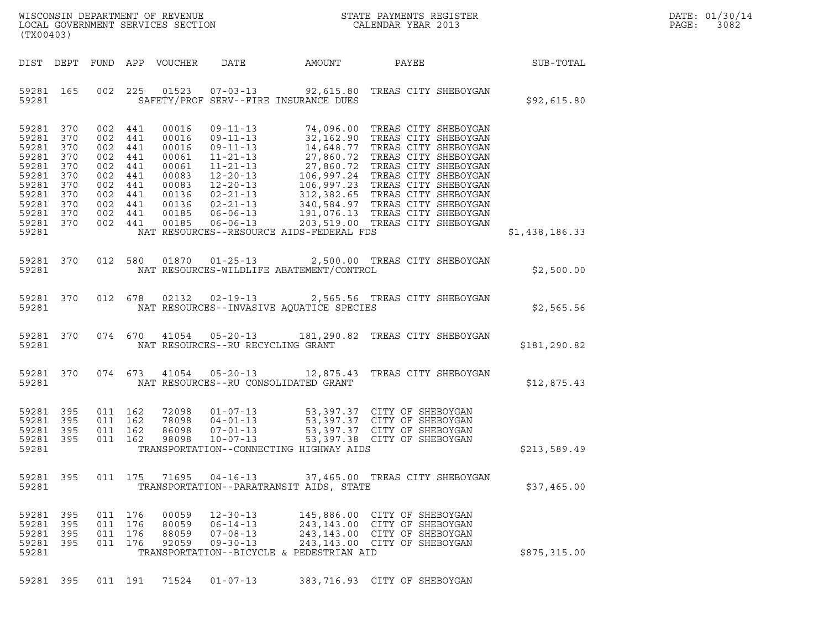|       | DATE: 01/30/14 |
|-------|----------------|
| PAGE: | 3082           |

| WISCONSIN DEPARTMENT OF REVENUE ${\small \begin{array}{ll} \text{MISCONS} \\ \text{LOCAL} \end{array}} {\small \begin{array}{ll} \text{DCP} \\ \text{DCP} \end{array}} {\small \begin{array}{ll} \text{DCP} \\ \text{DCP} \end{array}} {\small \begin{array}{ll} \text{DCP} \\ \text{DCP} \end{array}} {\small \begin{array}{ll} \text{DCP} \\ \text{DCP} \end{array}} {\small \begin{array}{ll} \text{DCP} \\ \text{DCP} \end{array}} {\small \begin{array}{ll} \text{DCP} \\ \text{DCP} \end$<br>(TX00403) |           |                                                                                                            |                                          |                                  |                                                                      |                                                |                                                                                                                                                                                                                                                                                   |                | DATE: 01/30/14<br>PAGE:<br>3082 |
|--------------------------------------------------------------------------------------------------------------------------------------------------------------------------------------------------------------------------------------------------------------------------------------------------------------------------------------------------------------------------------------------------------------------------------------------------------------------------------------------------------------|-----------|------------------------------------------------------------------------------------------------------------|------------------------------------------|----------------------------------|----------------------------------------------------------------------|------------------------------------------------|-----------------------------------------------------------------------------------------------------------------------------------------------------------------------------------------------------------------------------------------------------------------------------------|----------------|---------------------------------|
|                                                                                                                                                                                                                                                                                                                                                                                                                                                                                                              |           |                                                                                                            |                                          | DIST DEPT FUND APP VOUCHER       | DATE                                                                 | AMOUNT                                         | PAYEE SUB-TOTAL                                                                                                                                                                                                                                                                   |                |                                 |
| 59281                                                                                                                                                                                                                                                                                                                                                                                                                                                                                                        | 59281 165 |                                                                                                            |                                          |                                  |                                                                      | SAFETY/PROF SERV--FIRE INSURANCE DUES          | 002 225 01523 07-03-13 92,615.80 TREAS CITY SHEBOYGAN                                                                                                                                                                                                                             | \$92,615.80    |                                 |
| 59281 370<br>59281 370<br>59281 370<br>59281 370<br>59281 370<br>59281 370<br>59281 370<br>59281 370<br>59281 370<br>59281 370<br>59281 370<br>59281                                                                                                                                                                                                                                                                                                                                                         |           | 002 441<br>002 441<br>002 441<br>002 441<br>002 441<br>002 441<br>002 441<br>002 441<br>002 441<br>002 441 | 002 441                                  | 00016                            |                                                                      | NAT RESOURCES--RESOURCE AIDS-FEDERAL FDS       | 09-11-13 74,096.00 TREAS CITY SHEBOYGAN<br>00016 09-11-13 74,096.00 TREAS CITY SHEBOYGAN<br>00016 09-11-13 32,162.90 TREAS CITY SHEBOYGAN<br>00016 09-11-13 14,648.77 TREAS CITY SHEBOYGAN<br>00061 11-21-13 27,860.72 TREAS CITY SHEBOYGAN<br>00061 11-21-13 27,860.72 TREAS CIT | \$1,438,186.33 |                                 |
|                                                                                                                                                                                                                                                                                                                                                                                                                                                                                                              |           |                                                                                                            |                                          |                                  |                                                                      | 59281 NAT RESOURCES-WILDLIFE ABATEMENT/CONTROL | 59281 370 012 580 01870 01-25-13 2,500.00 TREAS CITY SHEBOYGAN                                                                                                                                                                                                                    | \$2,500.00     |                                 |
| 59281                                                                                                                                                                                                                                                                                                                                                                                                                                                                                                        |           |                                                                                                            |                                          | 59281 370 012 678 02132          |                                                                      | NAT RESOURCES--INVASIVE AQUATICE SPECIES       | 02-19-13 2,565.56 TREAS CITY SHEBOYGAN                                                                                                                                                                                                                                            | \$2,565.56     |                                 |
|                                                                                                                                                                                                                                                                                                                                                                                                                                                                                                              |           | 59281 200                                                                                                  |                                          |                                  | NAT RESOURCES--RU RECYCLING GRANT                                    |                                                | 59281 370 074 670 41054 05-20-13 181,290.82 TREAS CITY SHEBOYGAN                                                                                                                                                                                                                  | \$181,290.82   |                                 |
| 59281                                                                                                                                                                                                                                                                                                                                                                                                                                                                                                        |           |                                                                                                            |                                          |                                  |                                                                      | NAT RESOURCES--RU CONSOLIDATED GRANT           | 59281 370 074 673 41054 05-20-13 12,875.43 TREAS CITY SHEBOYGAN                                                                                                                                                                                                                   | \$12,875.43    |                                 |
| 59281 395<br>59281 395<br>59281 395<br>59281 395<br>59281                                                                                                                                                                                                                                                                                                                                                                                                                                                    |           | 011 162<br>011 162<br>011 162<br>011 162                                                                   |                                          |                                  |                                                                      | TRANSPORTATION--CONNECTING HIGHWAY AIDS        | 12098  01-07-13  53,397.37  CITY OF SHEBOYGAN<br>18098  04-01-13  53,397.37  CITY OF SHEBOYGAN<br>86098  07-01-13  53,397.37  CITY OF SHEBOYGAN<br>98098  10-07-13  53,397.38  CITY OF SHEBOYGAN                                                                                  | \$213,589.49   |                                 |
| 59281 395<br>59281                                                                                                                                                                                                                                                                                                                                                                                                                                                                                           |           |                                                                                                            | 011 175                                  | 71695                            | $04 - 16 - 13$                                                       | TRANSPORTATION--PARATRANSIT AIDS, STATE        | 37,465.00 TREAS CITY SHEBOYGAN                                                                                                                                                                                                                                                    | \$37,465.00    |                                 |
| 59281 395<br>59281 395<br>59281 395<br>59281 395<br>59281                                                                                                                                                                                                                                                                                                                                                                                                                                                    |           |                                                                                                            | 011 176<br>011 176<br>011 176<br>011 176 | 00059<br>80059<br>88059<br>92059 | $12 - 30 - 13$<br>$06 - 14 - 13$<br>$07 - 08 - 13$<br>$09 - 30 - 13$ | TRANSPORTATION--BICYCLE & PEDESTRIAN AID       | 145,886.00 CITY OF SHEBOYGAN<br>243,143.00 CITY OF SHEBOYGAN<br>243,143.00 CITY OF SHEBOYGAN<br>243,143.00 CITY OF SHEBOYGAN                                                                                                                                                      | \$875,315.00   |                                 |
| 59281 395                                                                                                                                                                                                                                                                                                                                                                                                                                                                                                    |           |                                                                                                            |                                          | 011 191 71524                    | $01 - 07 - 13$                                                       |                                                | 383,716.93 CITY OF SHEBOYGAN                                                                                                                                                                                                                                                      |                |                                 |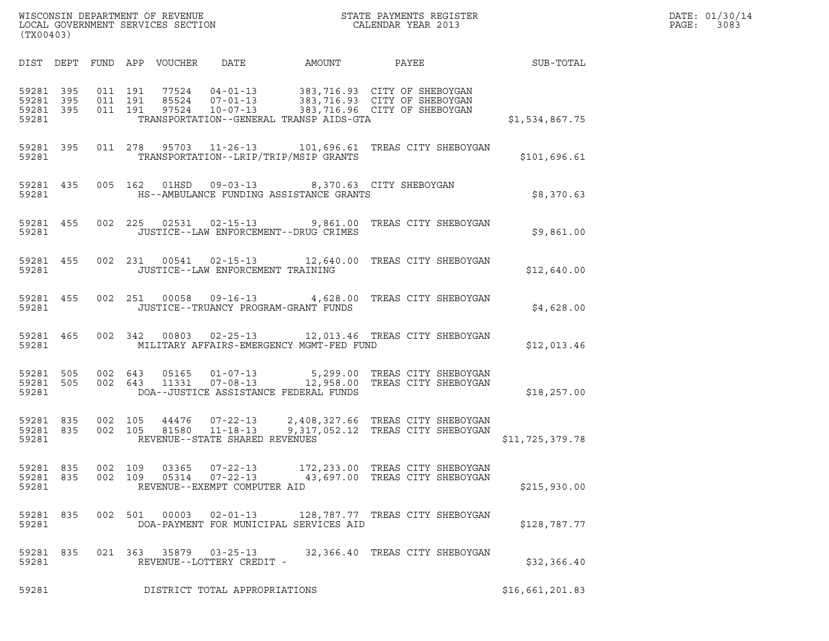| (TX00403)                                    |  |  |                               |                            |                                                      |                                          |                                                                                                            |                 | DATE: 01/30/14<br>PAGE:<br>3083 |
|----------------------------------------------|--|--|-------------------------------|----------------------------|------------------------------------------------------|------------------------------------------|------------------------------------------------------------------------------------------------------------|-----------------|---------------------------------|
|                                              |  |  |                               | DIST DEPT FUND APP VOUCHER | DATE                                                 | AMOUNT                                   | PAYEE SUB-TOTAL                                                                                            |                 |                                 |
| 59281 395<br>59281 395<br>59281 395<br>59281 |  |  | 011 191<br>011 191<br>011 191 |                            |                                                      | TRANSPORTATION--GENERAL TRANSP AIDS-GTA  | 77524  04-01-13  383,716.93  CITY OF SHEBOYGAN                                                             | \$1,534,867.75  |                                 |
| 59281                                        |  |  |                               |                            |                                                      | TRANSPORTATION--LRIP/TRIP/MSIP GRANTS    | 59281 395 011 278 95703 11-26-13 101,696.61 TREAS CITY SHEBOYGAN                                           | \$101,696.61    |                                 |
| 59281                                        |  |  |                               |                            |                                                      | HS--AMBULANCE FUNDING ASSISTANCE GRANTS  | 59281 435 005 162 01HSD 09-03-13 8,370.63 CITY SHEBOYGAN                                                   | \$8,370.63      |                                 |
| 59281                                        |  |  |                               |                            |                                                      | JUSTICE--LAW ENFORCEMENT--DRUG CRIMES    | 59281 455 002 225 02531 02-15-13 9,861.00 TREAS CITY SHEBOYGAN                                             | \$9,861.00      |                                 |
| 59281                                        |  |  |                               |                            | JUSTICE--LAW ENFORCEMENT TRAINING                    |                                          | 59281 455 002 231 00541 02-15-13 12,640.00 TREAS CITY SHEBOYGAN                                            | \$12,640.00     |                                 |
| 59281                                        |  |  |                               |                            |                                                      | JUSTICE--TRUANCY PROGRAM-GRANT FUNDS     | 59281 455 002 251 00058 09-16-13 4,628.00 TREAS CITY SHEBOYGAN                                             | \$4,628.00      |                                 |
| 59281 465<br>59281                           |  |  |                               |                            |                                                      | MILITARY AFFAIRS-EMERGENCY MGMT-FED FUND | 002 342 00803 02-25-13 12,013.46 TREAS CITY SHEBOYGAN                                                      | \$12,013.46     |                                 |
| 59281 505<br>59281                           |  |  |                               |                            | 59281 505 002 643 05165 01-07-13                     | DOA--JUSTICE ASSISTANCE FEDERAL FUNDS    | 5,299.00 TREAS CITY SHEBOYGAN<br>002 643 11331 07-08-13 12,958.00 TREAS CITY SHEBOYGAN                     | \$18,257.00     |                                 |
| 59281 835<br>59281 835<br>59281              |  |  | 002 105<br>002 105            |                            | REVENUE--STATE SHARED REVENUES                       |                                          | 44476  07-22-13  2,408,327.66  TREAS CITY SHEBOYGAN<br>81580  11-18-13  9,317,052.12  TREAS CITY SHEBOYGAN | \$11,725,379.78 |                                 |
| 59281 835<br>59281 835<br>59281              |  |  | 002 109<br>002 109            | 03365<br>05314             | 07-22-13<br>07-22-13<br>REVENUE--EXEMPT COMPUTER AID |                                          | 172,233.00 TREAS CITY SHEBOYGAN<br>43,697.00 TREAS CITY SHEBOYGAN                                          | \$215,930.00    |                                 |
| 59281 835<br>59281                           |  |  | 002 501                       | 00003                      | $02 - 01 - 13$                                       | DOA-PAYMENT FOR MUNICIPAL SERVICES AID   | 128,787.77 TREAS CITY SHEBOYGAN                                                                            | \$128,787.77    |                                 |
| 59281 835<br>59281                           |  |  |                               |                            | 021 363 35879 03-25-13<br>REVENUE--LOTTERY CREDIT -  |                                          | 32,366.40 TREAS CITY SHEBOYGAN                                                                             | \$32,366.40     |                                 |
| 59281                                        |  |  |                               |                            | DISTRICT TOTAL APPROPRIATIONS                        |                                          |                                                                                                            | \$16,661,201.83 |                                 |